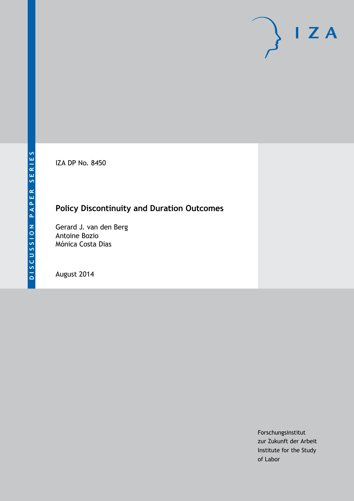IZA DP No. 8450

# **Policy Discontinuity and Duration Outcomes**

Gerard J. van den Berg Antoine Bozio Mónica Costa Dias

August 2014

Forschungsinstitut zur Zukunft der Arbeit Institute for the Study of Labor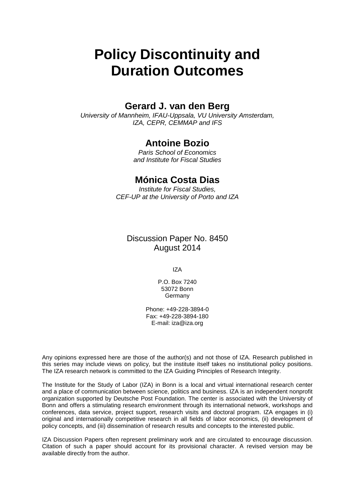# **Policy Discontinuity and Duration Outcomes**

#### **Gerard J. van den Berg**

*University of Mannheim, IFAU-Uppsala, VU University Amsterdam, IZA, CEPR, CEMMAP and IFS*

#### **Antoine Bozio**

*Paris School of Economics and Institute for Fiscal Studies*

#### **Mónica Costa Dias**

*Institute for Fiscal Studies, CEF-UP at the University of Porto and IZA*

Discussion Paper No. 8450 August 2014

IZA

P.O. Box 7240 53072 Bonn Germany

Phone: +49-228-3894-0 Fax: +49-228-3894-180 E-mail: [iza@iza.org](mailto:iza@iza.org)

Any opinions expressed here are those of the author(s) and not those of IZA. Research published in this series may include views on policy, but the institute itself takes no institutional policy positions. The IZA research network is committed to the IZA Guiding Principles of Research Integrity.

The Institute for the Study of Labor (IZA) in Bonn is a local and virtual international research center and a place of communication between science, politics and business. IZA is an independent nonprofit organization supported by Deutsche Post Foundation. The center is associated with the University of Bonn and offers a stimulating research environment through its international network, workshops and conferences, data service, project support, research visits and doctoral program. IZA engages in (i) original and internationally competitive research in all fields of labor economics, (ii) development of policy concepts, and (iii) dissemination of research results and concepts to the interested public.

<span id="page-1-0"></span>IZA Discussion Papers often represent preliminary work and are circulated to encourage discussion. Citation of such a paper should account for its provisional character. A revised version may be available directly from the author.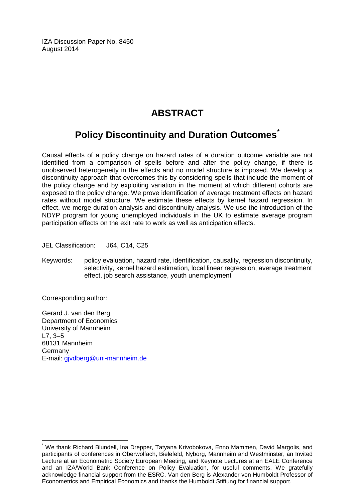IZA Discussion Paper No. 8450 August 2014

## **ABSTRACT**

# **Policy Discontinuity and Duration Outcomes[\\*](#page-1-0)**

Causal effects of a policy change on hazard rates of a duration outcome variable are not identified from a comparison of spells before and after the policy change, if there is unobserved heterogeneity in the effects and no model structure is imposed. We develop a discontinuity approach that overcomes this by considering spells that include the moment of the policy change and by exploiting variation in the moment at which different cohorts are exposed to the policy change. We prove identification of average treatment effects on hazard rates without model structure. We estimate these effects by kernel hazard regression. In effect, we merge duration analysis and discontinuity analysis. We use the introduction of the NDYP program for young unemployed individuals in the UK to estimate average program participation effects on the exit rate to work as well as anticipation effects.

JEL Classification: J64, C14, C25

Keywords: policy evaluation, hazard rate, identification, causality, regression discontinuity, selectivity, kernel hazard estimation, local linear regression, average treatment effect, job search assistance, youth unemployment

Corresponding author:

Gerard J. van den Berg Department of Economics University of Mannheim L7, 3–5 68131 Mannheim Germany E-mail: [gjvdberg@uni-mannheim.de](mailto:gjvdberg@uni-mannheim.de)

\* We thank Richard Blundell, Ina Drepper, Tatyana Krivobokova, Enno Mammen, David Margolis, and participants of conferences in Oberwolfach, Bielefeld, Nyborg, Mannheim and Westminster, an Invited Lecture at an Econometric Society European Meeting, and Keynote Lectures at an EALE Conference and an IZA/World Bank Conference on Policy Evaluation, for useful comments. We gratefully acknowledge financial support from the ESRC. Van den Berg is Alexander von Humboldt Professor of Econometrics and Empirical Economics and thanks the Humboldt Stiftung for financial support.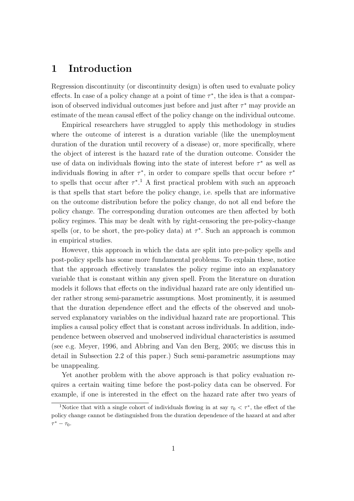### **1 Introduction**

Regression discontinuity (or discontinuity design) is often used to evaluate policy effects. In case of a policy change at a point of time  $\tau^*$ , the idea is that a comparison of observed individual outcomes just before and just after *τ <sup>∗</sup>* may provide an estimate of the mean causal effect of the policy change on the individual outcome.

Empirical researchers have struggled to apply this methodology in studies where the outcome of interest is a duration variable (like the unemployment duration of the duration until recovery of a disease) or, more specifically, where the object of interest is the hazard rate of the duration outcome. Consider the use of data on individuals flowing into the state of interest before *τ <sup>∗</sup>* as well as individuals flowing in after  $\tau^*$ , in order to compare spells that occur before  $\tau^*$ to spells that occur after  $\tau^*$ <sup>1</sup>. A first practical problem with such an approach is that spells that start before the policy change, i.e. spells that are informative on the outcome distribution before the policy change, do not all end before the policy change. The corresponding duration outcomes are then affected by both policy regimes. This may be dealt with by right-censoring the pre-policy-change spells (or, to be short, the pre-policy data) at *τ ∗* . Such an approach is common in empirical studies.

However, this approach in which the data are split into pre-policy spells and post-policy spells has some more fundamental problems. To explain these, notice that the approach effectively translates the policy regime into an explanatory variable that is constant within any given spell. From the literature on duration models it follows that effects on the individual hazard rate are only identified under rather strong semi-parametric assumptions. Most prominently, it is assumed that the duration dependence effect and the effects of the observed and unobserved explanatory variables on the individual hazard rate are proportional. This implies a causal policy effect that is constant across individuals. In addition, independence between observed and unobserved individual characteristics is assumed (see e.g. Meyer, 1996, and Abbring and Van den Berg, 2005; we discuss this in detail in Subsection 2.2 of this paper.) Such semi-parametric assumptions may be unappealing.

Yet another problem with the above approach is that policy evaluation requires a certain waiting time before the post-policy data can be observed. For example, if one is interested in the effect on the hazard rate after two years of

<sup>&</sup>lt;sup>1</sup>Notice that with a single cohort of individuals flowing in at say  $\tau_0 < \tau^*$ , the effect of the policy change cannot be distinguished from the duration dependence of the hazard at and after *τ <sup>∗</sup> − τ*0.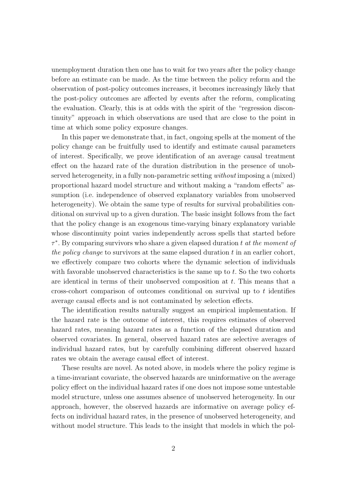unemployment duration then one has to wait for two years after the policy change before an estimate can be made. As the time between the policy reform and the observation of post-policy outcomes increases, it becomes increasingly likely that the post-policy outcomes are affected by events after the reform, complicating the evaluation. Clearly, this is at odds with the spirit of the "regression discontinuity" approach in which observations are used that are close to the point in time at which some policy exposure changes.

In this paper we demonstrate that, in fact, ongoing spells at the moment of the policy change can be fruitfully used to identify and estimate causal parameters of interest. Specifically, we prove identification of an average causal treatment effect on the hazard rate of the duration distribution in the presence of unobserved heterogeneity, in a fully non-parametric setting *without* imposing a (mixed) proportional hazard model structure and without making a "random effects" assumption (i.e. independence of observed explanatory variables from unobserved heterogeneity). We obtain the same type of results for survival probabilities conditional on survival up to a given duration. The basic insight follows from the fact that the policy change is an exogenous time-varying binary explanatory variable whose discontinuity point varies independently across spells that started before *τ ∗* . By comparing survivors who share a given elapsed duration *t at the moment of the policy change* to survivors at the same elapsed duration *t* in an earlier cohort, we effectively compare two cohorts where the dynamic selection of individuals with favorable unobserved characteristics is the same up to *t*. So the two cohorts are identical in terms of their unobserved composition at *t*. This means that a cross-cohort comparison of outcomes conditional on survival up to *t* identifies average causal effects and is not contaminated by selection effects.

The identification results naturally suggest an empirical implementation. If the hazard rate is the outcome of interest, this requires estimates of observed hazard rates, meaning hazard rates as a function of the elapsed duration and observed covariates. In general, observed hazard rates are selective averages of individual hazard rates, but by carefully combining different observed hazard rates we obtain the average causal effect of interest.

These results are novel. As noted above, in models where the policy regime is a time-invariant covariate, the observed hazards are uninformative on the average policy effect on the individual hazard rates if one does not impose some untestable model structure, unless one assumes absence of unobserved heterogeneity. In our approach, however, the observed hazards are informative on average policy effects on individual hazard rates, in the presence of unobserved heterogeneity, and without model structure. This leads to the insight that models in which the pol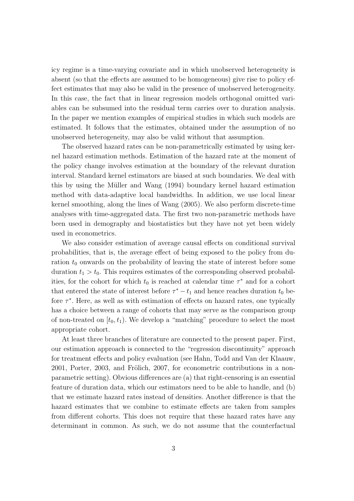icy regime is a time-varying covariate and in which unobserved heterogeneity is absent (so that the effects are assumed to be homogeneous) give rise to policy effect estimates that may also be valid in the presence of unobserved heterogeneity. In this case, the fact that in linear regression models orthogonal omitted variables can be subsumed into the residual term carries over to duration analysis. In the paper we mention examples of empirical studies in which such models are estimated. It follows that the estimates, obtained under the assumption of no unobserved heterogeneity, may also be valid without that assumption.

The observed hazard rates can be non-parametrically estimated by using kernel hazard estimation methods. Estimation of the hazard rate at the moment of the policy change involves estimation at the boundary of the relevant duration interval. Standard kernel estimators are biased at such boundaries. We deal with this by using the Müller and Wang (1994) boundary kernel hazard estimation method with data-adaptive local bandwidths. In addition, we use local linear kernel smoothing, along the lines of Wang (2005). We also perform discrete-time analyses with time-aggregated data. The first two non-parametric methods have been used in demography and biostatistics but they have not yet been widely used in econometrics.

We also consider estimation of average causal effects on conditional survival probabilities, that is, the average effect of being exposed to the policy from duration  $t_0$  onwards on the probability of leaving the state of interest before some duration  $t_1 > t_0$ . This requires estimates of the corresponding observed probabilities, for the cohort for which  $t_0$  is reached at calendar time  $\tau^*$  and for a cohort that entered the state of interest before  $\tau^* - t_1$  and hence reaches duration  $t_0$  before *τ ∗* . Here, as well as with estimation of effects on hazard rates, one typically has a choice between a range of cohorts that may serve as the comparison group of non-treated on  $[t_0, t_1)$ . We develop a "matching" procedure to select the most appropriate cohort.

At least three branches of literature are connected to the present paper. First, our estimation approach is connected to the "regression discontinuity" approach for treatment effects and policy evaluation (see Hahn, Todd and Van der Klaauw,  $2001$ , Porter,  $2003$ , and Frölich,  $2007$ , for econometric contributions in a nonparametric setting). Obvious differences are (a) that right-censoring is an essential feature of duration data, which our estimators need to be able to handle, and (b) that we estimate hazard rates instead of densities. Another difference is that the hazard estimates that we combine to estimate effects are taken from samples from different cohorts. This does not require that these hazard rates have any determinant in common. As such, we do not assume that the counterfactual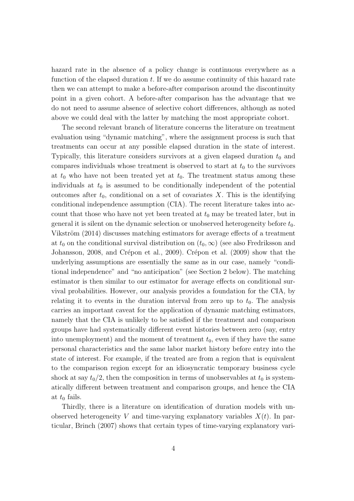hazard rate in the absence of a policy change is continuous everywhere as a function of the elapsed duration *t*. If we do assume continuity of this hazard rate then we can attempt to make a before-after comparison around the discontinuity point in a given cohort. A before-after comparison has the advantage that we do not need to assume absence of selective cohort differences, although as noted above we could deal with the latter by matching the most appropriate cohort.

The second relevant branch of literature concerns the literature on treatment evaluation using "dynamic matching", where the assignment process is such that treatments can occur at any possible elapsed duration in the state of interest. Typically, this literature considers survivors at a given elapsed duration  $t_0$  and compares individuals whose treatment is observed to start at  $t_0$  to the survivors at  $t_0$  who have not been treated yet at  $t_0$ . The treatment status among these individuals at  $t_0$  is assumed to be conditionally independent of the potential outcomes after  $t_0$ , conditional on a set of covariates  $X$ . This is the identifying conditional independence assumption (CIA). The recent literature takes into account that those who have not yet been treated at  $t_0$  may be treated later, but in general it is silent on the dynamic selection or unobserved heterogeneity before *t*0. Vikström (2014) discusses matching estimators for average effects of a treatment at  $t_0$  on the conditional survival distribution on  $(t_0, \infty)$  (see also Fredriksson and Johansson, 2008, and Crépon et al., 2009). Crépon et al. (2009) show that the underlying assumptions are essentially the same as in our case, namely "conditional independence" and "no anticipation" (see Section 2 below). The matching estimator is then similar to our estimator for average effects on conditional survival probabilities. However, our analysis provides a foundation for the CIA, by relating it to events in the duration interval from zero up to  $t_0$ . The analysis carries an important caveat for the application of dynamic matching estimators, namely that the CIA is unlikely to be satisfied if the treatment and comparison groups have had systematically different event histories between zero (say, entry into unemployment) and the moment of treatment  $t_0$ , even if they have the same personal characteristics and the same labor market history before entry into the state of interest. For example, if the treated are from a region that is equivalent to the comparison region except for an idiosyncratic temporary business cycle shock at say  $t_0/2$ , then the composition in terms of unobservables at  $t_0$  is systematically different between treatment and comparison groups, and hence the CIA at  $t_0$  fails.

Thirdly, there is a literature on identification of duration models with unobserved heterogeneity *V* and time-varying explanatory variables  $X(t)$ . In particular, Brinch (2007) shows that certain types of time-varying explanatory vari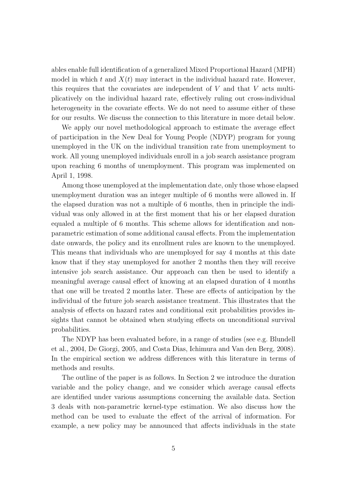ables enable full identification of a generalized Mixed Proportional Hazard (MPH) model in which  $t$  and  $X(t)$  may interact in the individual hazard rate. However, this requires that the covariates are independent of *V* and that *V* acts multiplicatively on the individual hazard rate, effectively ruling out cross-individual heterogeneity in the covariate effects. We do not need to assume either of these for our results. We discuss the connection to this literature in more detail below.

We apply our novel methodological approach to estimate the average effect of participation in the New Deal for Young People (NDYP) program for young unemployed in the UK on the individual transition rate from unemployment to work. All young unemployed individuals enroll in a job search assistance program upon reaching 6 months of unemployment. This program was implemented on April 1, 1998.

Among those unemployed at the implementation date, only those whose elapsed unemployment duration was an integer multiple of 6 months were allowed in. If the elapsed duration was not a multiple of 6 months, then in principle the individual was only allowed in at the first moment that his or her elapsed duration equaled a multiple of 6 months. This scheme allows for identification and nonparametric estimation of some additional causal effects. From the implementation date onwards, the policy and its enrollment rules are known to the unemployed. This means that individuals who are unemployed for say 4 months at this date know that if they stay unemployed for another 2 months then they will receive intensive job search assistance. Our approach can then be used to identify a meaningful average causal effect of knowing at an elapsed duration of 4 months that one will be treated 2 months later. These are effects of anticipation by the individual of the future job search assistance treatment. This illustrates that the analysis of effects on hazard rates and conditional exit probabilities provides insights that cannot be obtained when studying effects on unconditional survival probabilities.

The NDYP has been evaluated before, in a range of studies (see e.g. Blundell et al., 2004, De Giorgi, 2005, and Costa Dias, Ichimura and Van den Berg, 2008). In the empirical section we address differences with this literature in terms of methods and results.

The outline of the paper is as follows. In Section 2 we introduce the duration variable and the policy change, and we consider which average causal effects are identified under various assumptions concerning the available data. Section 3 deals with non-parametric kernel-type estimation. We also discuss how the method can be used to evaluate the effect of the arrival of information. For example, a new policy may be announced that affects individuals in the state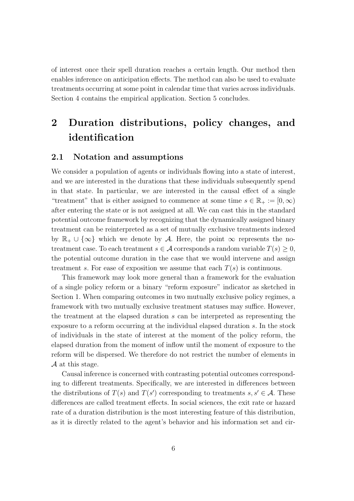of interest once their spell duration reaches a certain length. Our method then enables inference on anticipation effects. The method can also be used to evaluate treatments occurring at some point in calendar time that varies across individuals. Section 4 contains the empirical application. Section 5 concludes.

# **2 Duration distributions, policy changes, and identification**

#### **2.1 Notation and assumptions**

We consider a population of agents or individuals flowing into a state of interest, and we are interested in the durations that these individuals subsequently spend in that state. In particular, we are interested in the causal effect of a single "treatment" that is either assigned to commence at some time  $s \in \mathbb{R}_+ := [0, \infty)$ after entering the state or is not assigned at all. We can cast this in the standard potential outcome framework by recognizing that the dynamically assigned binary treatment can be reinterpreted as a set of mutually exclusive treatments indexed by R<sup>+</sup> *∪ {∞}* which we denote by *A*. Here, the point *∞* represents the notreatment case. To each treatment  $s \in \mathcal{A}$  corresponds a random variable  $T(s) \geq 0$ , the potential outcome duration in the case that we would intervene and assign treatment *s*. For ease of exposition we assume that each  $T(s)$  is continuous.

This framework may look more general than a framework for the evaluation of a single policy reform or a binary "reform exposure" indicator as sketched in Section 1. When comparing outcomes in two mutually exclusive policy regimes, a framework with two mutually exclusive treatment statuses may suffice. However, the treatment at the elapsed duration *s* can be interpreted as representing the exposure to a reform occurring at the individual elapsed duration *s*. In the stock of individuals in the state of interest at the moment of the policy reform, the elapsed duration from the moment of inflow until the moment of exposure to the reform will be dispersed. We therefore do not restrict the number of elements in *A* at this stage.

Causal inference is concerned with contrasting potential outcomes corresponding to different treatments. Specifically, we are interested in differences between the distributions of  $T(s)$  and  $T(s')$  corresponding to treatments  $s, s' \in \mathcal{A}$ . These differences are called treatment effects. In social sciences, the exit rate or hazard rate of a duration distribution is the most interesting feature of this distribution, as it is directly related to the agent's behavior and his information set and cir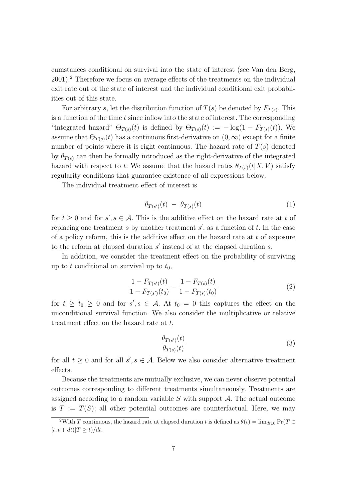cumstances conditional on survival into the state of interest (see Van den Berg, 2001).<sup>2</sup> Therefore we focus on average effects of the treatments on the individual exit rate out of the state of interest and the individual conditional exit probabilities out of this state.

For arbitrary *s*, let the distribution function of  $T(s)$  be denoted by  $F_{T(s)}$ . This is a function of the time *t* since inflow into the state of interest. The corresponding "integrated hazard"  $\Theta_{T(s)}(t)$  is defined by  $\Theta_{T(s)}(t) := -\log(1 - F_{T(s)}(t))$ . We assume that  $\Theta_{T(s)}(t)$  has a continuous first-derivative on  $(0,\infty)$  except for a finite number of points where it is right-continuous. The hazard rate of  $T(s)$  denoted by  $\theta_{T(s)}$  can then be formally introduced as the right-derivative of the integrated hazard with respect to *t*. We assume that the hazard rates  $\theta_{T(s)}(t|X, V)$  satisfy regularity conditions that guarantee existence of all expressions below.

The individual treatment effect of interest is

$$
\theta_{T(s')}(t) - \theta_{T(s)}(t) \tag{1}
$$

for  $t \geq 0$  and for  $s'$ ,  $s \in \mathcal{A}$ . This is the additive effect on the hazard rate at  $t$  of replacing one treatment *s* by another treatment *s ′* , as a function of *t*. In the case of a policy reform, this is the additive effect on the hazard rate at *t* of exposure to the reform at elapsed duration *s ′* instead of at the elapsed duration *s*.

In addition, we consider the treatment effect on the probability of surviving up to  $t$  conditional on survival up to  $t_0$ ,

$$
\frac{1 - F_{T(s')}(t)}{1 - F_{T(s')}(t_0)} - \frac{1 - F_{T(s)}(t)}{1 - F_{T(s)}(t_0)}\tag{2}
$$

for  $t \geq t_0 \geq 0$  and for  $s'$ ,  $s \in A$ . At  $t_0 = 0$  this captures the effect on the unconditional survival function. We also consider the multiplicative or relative treatment effect on the hazard rate at *t*,

$$
\frac{\theta_{T(s')}(t)}{\theta_{T(s)}(t)}\tag{3}
$$

for all  $t \geq 0$  and for all  $s'$ ,  $s \in A$ . Below we also consider alternative treatment effects.

Because the treatments are mutually exclusive, we can never observe potential outcomes corresponding to different treatments simultaneously. Treatments are assigned according to a random variable *S* with support *A*. The actual outcome is  $T := T(S)$ ; all other potential outcomes are counterfactual. Here, we may

<sup>&</sup>lt;sup>2</sup>With *T* continuous, the hazard rate at elapsed duration *t* is defined as  $\theta(t) = \lim_{dt \downarrow 0} \Pr(T \in$  $[t, t + dt)|T \ge t\rangle/dt.$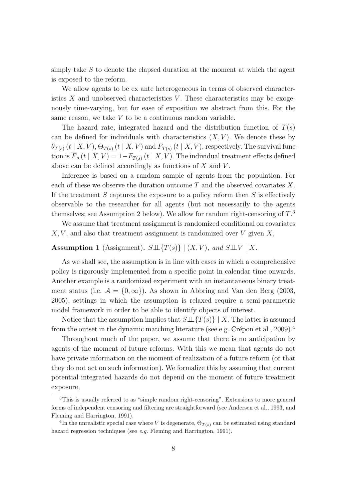simply take *S* to denote the elapsed duration at the moment at which the agent is exposed to the reform.

We allow agents to be ex ante heterogeneous in terms of observed characteristics  $X$  and unobserved characteristics  $V$ . These characteristics may be exogenously time-varying, but for ease of exposition we abstract from this. For the same reason, we take *V* to be a continuous random variable.

The hazard rate, integrated hazard and the distribution function of  $T(s)$ can be defined for individuals with characteristics  $(X, V)$ . We denote these by  $\theta_{T(s)}(t | X, V), \Theta_{T(s)}(t | X, V)$  and  $F_{T(s)}(t | X, V)$ , respectively. The survival function is  $\overline{F}_s(t \mid X, V) = 1 - F_{T(s)}(t \mid X, V)$ . The individual treatment effects defined above can be defined accordingly as functions of *X* and *V* .

Inference is based on a random sample of agents from the population. For each of these we observe the duration outcome *T* and the observed covariates *X*. If the treatment *S* captures the exposure to a policy reform then *S* is effectively observable to the researcher for all agents (but not necessarily to the agents themselves; see Assumption 2 below). We allow for random right-censoring of *T*. 3

We assume that treatment assignment is randomized conditional on covariates *X, V* , and also that treatment assignment is randomized over *V* given *X*,

#### **Assumption 1** (Assignment).  $S \perp \!\!\!\perp \{T(s)\} | (X, V),$  and  $S \perp \!\!\!\perp \!\!\!\perp V | X$ .

As we shall see, the assumption is in line with cases in which a comprehensive policy is rigorously implemented from a specific point in calendar time onwards. Another example is a randomized experiment with an instantaneous binary treatment status (i.e.  $\mathcal{A} = \{0, \infty\}$ ). As shown in Abbring and Van den Berg (2003, 2005), settings in which the assumption is relaxed require a semi-parametric model framework in order to be able to identify objects of interest.

Notice that the assumption implies that *S⊥⊥{T*(*s*)*} | X*. The latter is assumed from the outset in the dynamic matching literature (see e.g. Crépon et al., 2009).<sup>4</sup>

Throughout much of the paper, we assume that there is no anticipation by agents of the moment of future reforms. With this we mean that agents do not have private information on the moment of realization of a future reform (or that they do not act on such information). We formalize this by assuming that current potential integrated hazards do not depend on the moment of future treatment exposure,

<sup>3</sup>This is usually referred to as "simple random right-censoring". Extensions to more general forms of independent censoring and filtering are straightforward (see Andersen et al., 1993, and Fleming and Harrington, 1991).

<sup>&</sup>lt;sup>4</sup>In the unrealistic special case where *V* is degenerate,  $\Theta_{T(s)}$  can be estimated using standard hazard regression techniques (see *e.g.* Fleming and Harrington, 1991).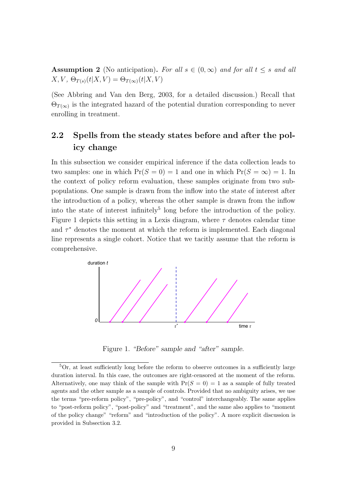**Assumption 2** (No anticipation). For all  $s \in (0, \infty)$  and for all  $t \leq s$  and all  $X, V, \Theta_{T(s)}(t|X, V) = \Theta_{T(\infty)}(t|X, V)$ 

(See Abbring and Van den Berg, 2003, for a detailed discussion.) Recall that Θ*T*(*∞*) is the integrated hazard of the potential duration corresponding to never enrolling in treatment.

### **2.2 Spells from the steady states before and after the policy change**

In this subsection we consider empirical inference if the data collection leads to two samples: one in which  $Pr(S = 0) = 1$  and one in which  $Pr(S = \infty) = 1$ . In the context of policy reform evaluation, these samples originate from two subpopulations. One sample is drawn from the inflow into the state of interest after the introduction of a policy, whereas the other sample is drawn from the inflow into the state of interest infinitely<sup>5</sup> long before the introduction of the policy. Figure 1 depicts this setting in a Lexis diagram, where *τ* denotes calendar time and  $\tau^*$  denotes the moment at which the reform is implemented. Each diagonal line represents a single cohort. Notice that we tacitly assume that the reform is comprehensive.



Figure 1. *"Before" sample and "after" sample.*

<sup>5</sup>Or, at least sufficiently long before the reform to observe outcomes in a sufficiently large duration interval. In this case, the outcomes are right-censored at the moment of the reform. Alternatively, one may think of the sample with  $Pr(S = 0) = 1$  as a sample of fully treated agents and the other sample as a sample of controls. Provided that no ambiguity arises, we use the terms "pre-reform policy", "pre-policy", and "control" interchangeably. The same applies to "post-reform policy", "post-policy" and "treatment", and the same also applies to "moment of the policy change" "reform" and "introduction of the policy". A more explicit discussion is provided in Subsection 3.2.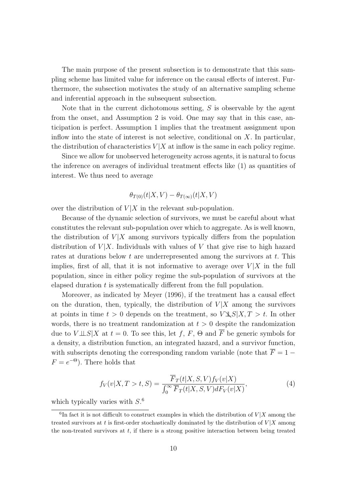The main purpose of the present subsection is to demonstrate that this sampling scheme has limited value for inference on the causal effects of interest. Furthermore, the subsection motivates the study of an alternative sampling scheme and inferential approach in the subsequent subsection.

Note that in the current dichotomous setting, *S* is observable by the agent from the onset, and Assumption 2 is void. One may say that in this case, anticipation is perfect. Assumption 1 implies that the treatment assignment upon inflow into the state of interest is not selective, conditional on *X*. In particular, the distribution of characteristics  $V|X$  at inflow is the same in each policy regime.

Since we allow for unobserved heterogeneity across agents, it is natural to focus the inference on averages of individual treatment effects like (1) as quantities of interest. We thus need to average

$$
\theta_{T(0)}(t|X,V) - \theta_{T(\infty)}(t|X,V)
$$

over the distribution of  $V|X$  in the relevant sub-population.

Because of the dynamic selection of survivors, we must be careful about what constitutes the relevant sub-population over which to aggregate. As is well known, the distribution of  $V|X$  among survivors typically differs from the population distribution of  $V|X$ . Individuals with values of V that give rise to high hazard rates at durations below *t* are underrepresented among the survivors at *t*. This implies, first of all, that it is not informative to average over  $V|X$  in the full population, since in either policy regime the sub-population of survivors at the elapsed duration *t* is systematically different from the full population.

Moreover, as indicated by Meyer (1996), if the treatment has a causal effect on the duration, then, typically, the distribution of  $V|X$  among the survivors at points in time  $t > 0$  depends on the treatment, so  $V \mathcal{L} S | X, T > t$ . In other words, there is no treatment randomization at  $t > 0$  despite the randomization due to  $V \perp \!\!\! \perp S | X$  at  $t = 0$ . To see this, let f, F,  $\Theta$  and  $\overline{F}$  be generic symbols for a density, a distribution function, an integrated hazard, and a survivor function, with subscripts denoting the corresponding random variable (note that  $\overline{F} = 1 F = e^{-\Theta}$ ). There holds that

$$
f_V(v|X,T>t,S) = \frac{\overline{F}_T(t|X,S,V)f_V(v|X)}{\int_0^\infty \overline{F}_T(t|X,S,V)dF_V(v|X)},\tag{4}
$$

which typically varies with *S*. 6

 ${}^{6}$ In fact it is not difficult to construct examples in which the distribution of  $V$  *|X* among the treated survivors at *t* is first-order stochastically dominated by the distribution of *V |X* among the non-treated survivors at *t*, if there is a strong positive interaction between being treated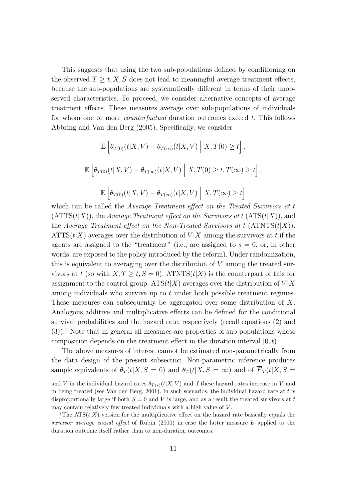This suggests that using the two sub-populations defined by conditioning on the observed  $T \geq t, X, S$  does not lead to meaningful average treatment effects, because the sub-populations are systematically different in terms of their unobserved characteristics. To proceed, we consider alternative concepts of average treatment effects. These measures average over sub-populations of individuals for whom one or more *counterfactual* duration outcomes exceed *t*. This follows Abbring and Van den Berg (2005). Specifically, we consider

$$
\mathbb{E}\left[\theta_{T(0)}(t|X,V) - \theta_{T(\infty)}(t|X,V)\middle| X,T(0) \ge t\right],
$$
  

$$
\mathbb{E}\left[\theta_{T(0)}(t|X,V) - \theta_{T(\infty)}(t|X,V)\middle| X,T(0) \ge t, T(\infty) \ge t\right],
$$
  

$$
\mathbb{E}\left[\theta_{T(0)}(t|X,V) - \theta_{T(\infty)}(t|X,V)\middle| X,T(\infty) \ge t\right]
$$

which can be called the *Average Treatment effect on the Treated Survivors at t*  $(ATTS(t|X))$ , the *Average Treatment effect on the Survivors at*  $t (ATS(t|X))$ , and the *Average Treatment effect on the Non-Treated Survivors at*  $t$  *(ATNTS(* $t|X$ *)).* ATTS( $t|X$ ) averages over the distribution of  $V|X$  among the survivors at *t* if the agents are assigned to the "treatment" (i.e., are assigned to  $s = 0$ , or, in other words, are exposed to the policy introduced by the reform). Under randomization, this is equivalent to averaging over the distribution of *V* among the treated survivors at *t* (so with  $X, T \ge t, S = 0$ ). ATNTS(*t*|*X*) is the counterpart of this for assignment to the control group.  $ATS(t|X)$  averages over the distribution of  $V|X$ among individuals who survive up to *t* under both possible treatment regimes. These measures can subsequently be aggregated over some distribution of *X*. Analogous additive and multiplicative effects can be defined for the conditional survival probabilities and the hazard rate, respectively (recall equations (2) and (3)).<sup>7</sup> Note that in general all measures are properties of sub-populations whose composition depends on the treatment effect in the duration interval [0*, t*).

The above measures of interest cannot be estimated non-parametrically from the data design of the present subsection. Non-parametric inference produces sample equivalents of  $\theta_T(t|X, S = 0)$  and  $\theta_T(t|X, S = \infty)$  and of  $\overline{F}_T(t|X, S = \infty)$ 

and *V* in the individual hazard rates  $\theta_{T(s)}(t|X, V)$  and if these hazard rates increase in *V* and in being treated (see Van den Berg, 2001). In such scenarios, the individual hazard rate at *t* is disproportionally large if both *S* = 0 and *V* is large, and as a result the treated survivors at *t* may contain relatively few treated individuals with a high value of *V* .

<sup>&</sup>lt;sup>7</sup>The ATS $(t|X)$  version for the multiplicative effect on the hazard rate basically equals the *survivor average causal effect* of Rubin (2000) in case the latter measure is applied to the duration outcome itself rather than to non-duration outcomes.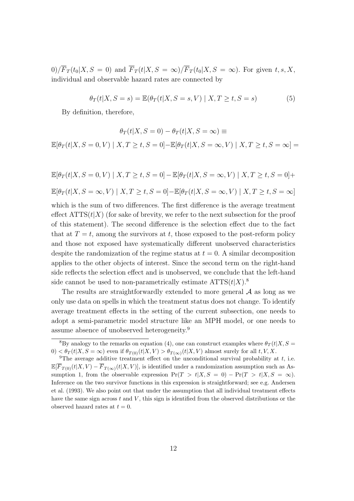$0)/\overline{F}_T(t_0|X, S = 0)$  and  $\overline{F}_T(t|X, S = \infty)/\overline{F}_T(t_0|X, S = \infty)$ . For given  $t, s, X$ , individual and observable hazard rates are connected by

$$
\theta_T(t|X, S = s) = \mathbb{E}(\theta_T(t|X, S = s, V) | X, T \ge t, S = s)
$$
\n<sup>(5)</sup>

By definition, therefore,

$$
\theta_T(t|X, S=0) - \theta_T(t|X, S=\infty) \equiv
$$
  

$$
\mathbb{E}[\theta_T(t|X, S=0, V) | X, T \ge t, S=0] - \mathbb{E}[\theta_T(t|X, S=\infty, V) | X, T \ge t, S=\infty] =
$$

$$
\mathbb{E}[\theta_T(t|X, S=0, V) | X, T \ge t, S=0] - \mathbb{E}[\theta_T(t|X, S=\infty, V) | X, T \ge t, S=0] +
$$
  

$$
\mathbb{E}[\theta_T(t|X, S=\infty, V) | X, T \ge t, S=0] - \mathbb{E}[\theta_T(t|X, S=\infty, V) | X, T \ge t, S=\infty]
$$

which is the sum of two differences. The first difference is the average treatment effect  $\text{ATTS}(t|X)$  (for sake of brevity, we refer to the next subsection for the proof of this statement). The second difference is the selection effect due to the fact that at  $T = t$ , among the survivors at  $t$ , those exposed to the post-reform policy and those not exposed have systematically different unobserved characteristics despite the randomization of the regime status at  $t = 0$ . A similar decomposition applies to the other objects of interest. Since the second term on the right-hand side reflects the selection effect and is unobserved, we conclude that the left-hand side cannot be used to non-parametrically estimate  $\text{ATTS}(t|X)$ .<sup>8</sup>

The results are straightforwardly extended to more general *A* as long as we only use data on spells in which the treatment status does not change. To identify average treatment effects in the setting of the current subsection, one needs to adopt a semi-parametric model structure like an MPH model, or one needs to assume absence of unobserved heterogeneity.<sup>9</sup>

<sup>&</sup>lt;sup>8</sup>By analogy to the remarks on equation (4), one can construct examples where  $\theta_T(t|X, S =$  $0$   $\leq \theta_T(t|X, S = \infty)$  even if  $\theta_{T(0)}(t|X, V) > \theta_{T(\infty)}(t|X, V)$  almost surely for all  $t, V, X$ .

<sup>9</sup>The average additive treatment effect on the *un*conditional survival probability at *t*, i.e.  $\mathbb{E}[\overline{F}_{T(0)}(t|X,V) - \overline{F}_{T(\infty)}(t|X,V)]$ , is identified under a randomization assumption such as Assumption 1, from the observable expression  $Pr(T > t | X, S = 0) - Pr(T > t | X, S = \infty)$ . Inference on the two survivor functions in this expression is straightforward; see e.g. Andersen et al. (1993). We also point out that under the assumption that all individual treatment effects have the same sign across *t* and *V* , this sign is identified from the observed distributions or the observed hazard rates at  $t = 0$ .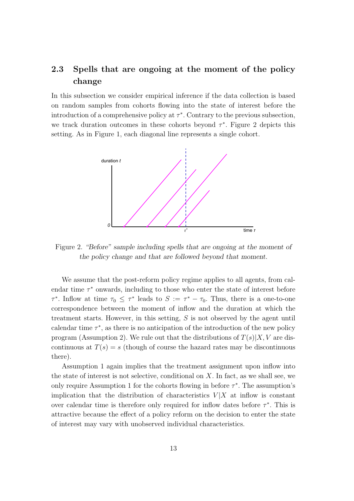### **2.3 Spells that are ongoing at the moment of the policy change**

In this subsection we consider empirical inference if the data collection is based on random samples from cohorts flowing into the state of interest before the introduction of a comprehensive policy at  $\tau^*$ . Contrary to the previous subsection, we track duration outcomes in these cohorts beyond *τ ∗* . Figure 2 depicts this setting. As in Figure 1, each diagonal line represents a single cohort.



Figure 2. *"Before" sample including spells that are ongoing at the moment of the policy change and that are followed beyond that moment.*

We assume that the post-reform policy regime applies to all agents, from calendar time *τ <sup>∗</sup>* onwards, including to those who enter the state of interest before *τ*<sup>\*</sup>. Inflow at time  $\tau_0 \leq \tau^*$  leads to  $S := \tau^* - \tau_0$ . Thus, there is a one-to-one correspondence between the moment of inflow and the duration at which the treatment starts. However, in this setting, *S* is not observed by the agent until calendar time  $\tau^*$ , as there is no anticipation of the introduction of the new policy program (Assumption 2). We rule out that the distributions of  $T(s)|X, V$  are discontinuous at  $T(s) = s$  (though of course the hazard rates may be discontinuous there).

Assumption 1 again implies that the treatment assignment upon inflow into the state of interest is not selective, conditional on *X*. In fact, as we shall see, we only require Assumption 1 for the cohorts flowing in before *τ ∗* . The assumption's implication that the distribution of characteristics  $V|X$  at inflow is constant over calendar time is therefore only required for inflow dates before *τ ∗* . This is attractive because the effect of a policy reform on the decision to enter the state of interest may vary with unobserved individual characteristics.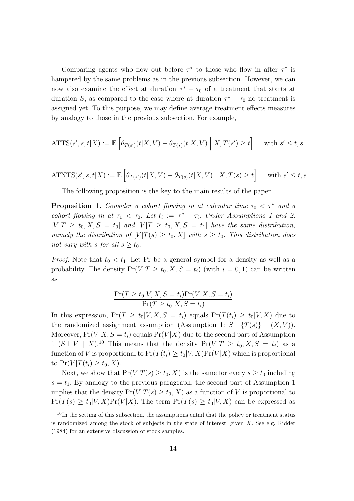Comparing agents who flow out before  $\tau^*$  to those who flow in after  $\tau^*$  is hampered by the same problems as in the previous subsection. However, we can now also examine the effect at duration  $\tau^* - \tau_0$  of a treatment that starts at duration *S*, as compared to the case where at duration  $\tau^* - \tau_0$  no treatment is assigned yet. To this purpose, we may define average treatment effects measures by analogy to those in the previous subsection. For example,

$$
\text{ATTS}(s', s, t | X) := \mathbb{E}\left[\theta_{T(s')}(t | X, V) - \theta_{T(s)}(t | X, V)\middle| X, T(s') \ge t\right] \quad \text{with } s' \le t, s.
$$

$$
\text{ATNTS}(s', s, t | X) := \mathbb{E}\left[\theta_{T(s')}(t | X, V) - \theta_{T(s)}(t | X, V)\middle| X, T(s) \ge t\right] \quad \text{with } s' \le t, s.
$$

The following proposition is the key to the main results of the paper.

**Proposition 1.** *Consider a cohort flowing in at calendar time*  $\tau_0 < \tau^*$  *and a cohort flowing in at*  $\tau_1 < \tau_0$ *. Let*  $t_i := \tau^* - \tau_i$ *. Under Assumptions 1 and 2,*  $[V|T \geq t_0, X, S = t_0]$  and  $[V|T \geq t_0, X, S = t_1]$  have the same distribution, *namely the distribution of*  $[V|T(s) \ge t_0, X]$  *with*  $s \ge t_0$ *. This distribution does not vary with s for all*  $s \geq t_0$ *.* 

*Proof:* Note that  $t_0 < t_1$ . Let Pr be a general symbol for a density as well as a probability. The density  $Pr(V|T \ge t_0, X, S = t_i)$  (with  $i = 0, 1$ ) can be written as

$$
\frac{\Pr(T \ge t_0 | V, X, S = t_i) \Pr(V | X, S = t_i)}{\Pr(T \ge t_0 | X, S = t_i)}
$$

In this expression,  $Pr(T \ge t_0 | V, X, S = t_i)$  equals  $Pr(T(t_i) \ge t_0 | V, X)$  due to the randomized assignment assumption (Assumption 1:  $S \perp \!\!\!\perp \{T(s)\}\mid (X, V)$ ). Moreover,  $Pr(V|X, S = t_i)$  equals  $Pr(V|X)$  due to the second part of Assumption 1 ( $S \perp V$  |  $X$ ).<sup>10</sup> This means that the density  $Pr(V|T \ge t_0, X, S = t_i)$  as a function of *V* is proportional to  $Pr(T(t_i) \ge t_0 | V, X) Pr(V | X)$  which is proportional to  $Pr(V|T(t_i) \geq t_0, X)$ .

Next, we show that  $Pr(V|T(s) \ge t_0, X)$  is the same for every  $s \ge t_0$  including  $s = t_1$ . By analogy to the previous paragraph, the second part of Assumption 1 implies that the density  $Pr(V|T(s) \ge t_0, X)$  as a function of *V* is proportional to  $Pr(T(s) \ge t_0 | V, X)Pr(V|X)$ . The term  $Pr(T(s) \ge t_0 | V, X)$  can be expressed as

 $10$ In the setting of this subsection, the assumptions entail that the policy or treatment status is randomized among the stock of subjects in the state of interest, given *X*. See e.g. Ridder (1984) for an extensive discussion of stock samples.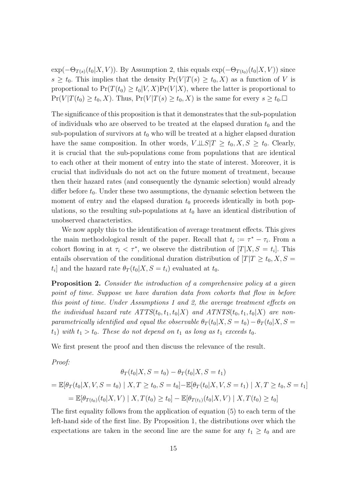$\exp(-\Theta_{T(s)}(t_0|X, V))$ . By Assumption 2, this equals  $\exp(-\Theta_{T(t_0)}(t_0|X, V))$  since  $s \geq t_0$ . This implies that the density  $Pr(V|T(s) \geq t_0, X)$  as a function of *V* is proportional to  $Pr(T(t_0) \ge t_0 | V, X) Pr(V | X)$ , where the latter is proportional to  $Pr(V|T(t_0) \ge t_0, X)$ . Thus,  $Pr(V|T(s) \ge t_0, X)$  is the same for every  $s \ge t_0$ .

The significance of this proposition is that it demonstrates that the sub-population of individuals who are observed to be treated at the elapsed duration  $t_0$  and the sub-population of survivors at  $t_0$  who will be treated at a higher elapsed duration have the same composition. In other words,  $V \perp \!\!\!\perp S | T \geq t_0, X, S \geq t_0$ . Clearly, it is crucial that the sub-populations come from populations that are identical to each other at their moment of entry into the state of interest. Moreover, it is crucial that individuals do not act on the future moment of treatment, because then their hazard rates (and consequently the dynamic selection) would already differ before  $t_0$ . Under these two assumptions, the dynamic selection between the moment of entry and the elapsed duration  $t_0$  proceeds identically in both populations, so the resulting sub-populations at  $t_0$  have an identical distribution of unobserved characteristics.

We now apply this to the identification of average treatment effects. This gives the main methodological result of the paper. Recall that  $t_i := \tau^* - \tau_i$ . From a cohort flowing in at  $\tau_i < \tau^*$ , we observe the distribution of  $[T|X, S = t_i]$ . This entails observation of the conditional duration distribution of  $[T|T \ge t_0, X, S =$  $t_i$  and the hazard rate  $\theta_T(t_0|X, S = t_i)$  evaluated at  $t_0$ .

**Proposition 2.** *Consider the introduction of a comprehensive policy at a given point of time. Suppose we have duration data from cohorts that flow in before this point of time. Under Assumptions 1 and 2, the average treatment effects on the individual hazard rate*  $ATTS(t_0, t_1, t_0|X)$  *and*  $ATNTS(t_0, t_1, t_0|X)$  *are nonparametrically identified and equal the observable*  $\theta_T(t_0|X, S = t_0) - \theta_T(t_0|X, S = t_0)$  $t_1$ ) *with*  $t_1 > t_0$ *. These do not depend on*  $t_1$  *as long as*  $t_1$  *exceeds*  $t_0$ *.* 

We first present the proof and then discuss the relevance of the result.

*Proof:*

$$
\theta_T(t_0|X, S = t_0) - \theta_T(t_0|X, S = t_1)
$$
  
=  $\mathbb{E}[\theta_T(t_0|X, V, S = t_0) | X, T \ge t_0, S = t_0] - \mathbb{E}[\theta_T(t_0|X, V, S = t_1) | X, T \ge t_0, S = t_1]$   
=  $\mathbb{E}[\theta_{T(t_0)}(t_0|X, V) | X, T(t_0) \ge t_0] - \mathbb{E}[\theta_{T(t_1)}(t_0|X, V) | X, T(t_0) \ge t_0]$ 

The first equality follows from the application of equation (5) to each term of the left-hand side of the first line. By Proposition 1, the distributions over which the expectations are taken in the second line are the same for any  $t_1 \geq t_0$  and are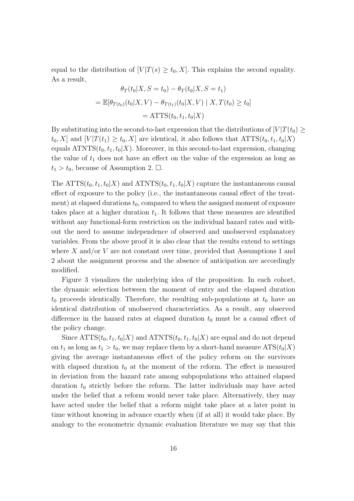equal to the distribution of  $[V|T(s) \geq t_0, X]$ . This explains the second equality. As a result,

$$
\theta_T(t_0|X, S = t_0) - \theta_T(t_0|X, S = t_1)
$$
  
=  $\mathbb{E}[\theta_{T(t_0)}(t_0|X, V) - \theta_{T(t_1)}(t_0|X, V) | X, T(t_0) \ge t_0]$   
= ATTS(t\_0, t\_1, t\_0|X)

By substituting into the second-to-last expression that the distributions of  $[V]T(t_0) \ge$  $t_0, X$  and  $[V|T(t_1) \ge t_0, X]$  are identical, it also follows that  $\text{ATTS}(t_0, t_1, t_0|X)$ equals  $\text{ATNTS}(t_0, t_1, t_0 | X)$ . Moreover, in this second-to-last expression, changing the value of  $t_1$  does not have an effect on the value of the expression as long as  $t_1 > t_0$ , because of Assumption 2.  $\Box$ .

The ATTS( $t_0, t_1, t_0|X$ ) and ATNTS( $t_0, t_1, t_0|X$ ) capture the instantaneous causal effect of exposure to the policy (i.e., the instantaneous causal effect of the treatment) at elapsed durations  $t_0$ , compared to when the assigned moment of exposure takes place at a higher duration  $t_1$ . It follows that these measures are identified without any functional-form restriction on the individual hazard rates and without the need to assume independence of observed and unobserved explanatory variables. From the above proof it is also clear that the results extend to settings where *X* and/or *V* are not constant over time, provided that Assumptions 1 and 2 about the assignment process and the absence of anticipation are accordingly modified.

Figure 3 visualizes the underlying idea of the proposition. In each cohort, the dynamic selection between the moment of entry and the elapsed duration  $t_0$  proceeds identically. Therefore, the resulting sub-populations at  $t_0$  have an identical distribution of unobserved characteristics. As a result, any observed difference in the hazard rates at elapsed duration  $t_0$  must be a causal effect of the policy change.

Since  $\text{ATTS}(t_0, t_1, t_0|X)$  and  $\text{ATNTS}(t_0, t_1, t_0|X)$  are equal and do not depend on  $t_1$  as long as  $t_1 > t_0$ , we may replace them by a short-hand measure  $ATS(t_0|X)$ giving the average instantaneous effect of the policy reform on the survivors with elapsed duration  $t_0$  at the moment of the reform. The effect is measured in deviation from the hazard rate among subpopulations who attained elapsed duration *t*<sup>0</sup> strictly before the reform. The latter individuals may have acted under the belief that a reform would never take place. Alternatively, they may have acted under the belief that a reform might take place at a later point in time without knowing in advance exactly when (if at all) it would take place. By analogy to the econometric dynamic evaluation literature we may say that this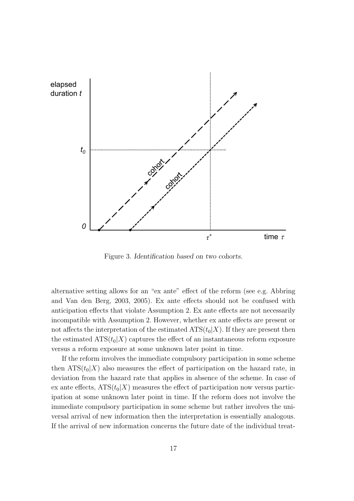

Figure 3. *Identification based on two cohorts.*

alternative setting allows for an "ex ante" effect of the reform (see e.g. Abbring and Van den Berg, 2003, 2005). Ex ante effects should not be confused with anticipation effects that violate Assumption 2. Ex ante effects are not necessarily incompatible with Assumption 2. However, whether ex ante effects are present or not affects the interpretation of the estimated  $ATS(t_0|X)$ . If they are present then the estimated  $ATS(t_0|X)$  captures the effect of an instantaneous reform exposure versus a reform exposure at some unknown later point in time.

If the reform involves the immediate compulsory participation in some scheme then  $ATS(t_0|X)$  also measures the effect of participation on the hazard rate, in deviation from the hazard rate that applies in absence of the scheme. In case of ex ante effects,  $ATS(t_0|X)$  measures the effect of participation now versus participation at some unknown later point in time. If the reform does not involve the immediate compulsory participation in some scheme but rather involves the universal arrival of new information then the interpretation is essentially analogous. If the arrival of new information concerns the future date of the individual treat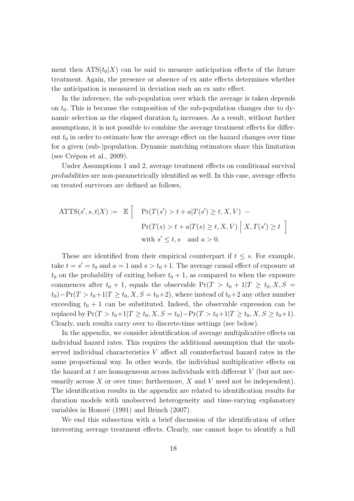ment then  $ATS(t_0|X)$  can be said to measure anticipation effects of the future treatment. Again, the presence or absence of ex ante effects determines whether the anticipation is measured in deviation such an ex ante effect.

In the inference, the sub-population over which the average is taken depends on  $t_0$ . This is because the composition of the sub-population changes due to dynamic selection as the elapsed duration  $t_0$  increases. As a result, without further assumptions, it is not possible to combine the average treatment effects for different  $t_0$  in order to estimate how the average effect on the hazard changes over time for a given (sub-)population. Dynamic matching estimators share this limitation (see Crépon et al.,  $2009$ ).

Under Assumptions 1 and 2, average treatment effects on conditional survival *probabilities* are non-parametrically identified as well. In this case, average effects on treated survivors are defined as follows,

$$
\text{ATTS}(s', s, t | X) := \mathbb{E} \left[ \Pr(T(s') > t + a | T(s') \ge t, X, V) - \Pr(T(s) > t + a | T(s) \ge t, X, V) \middle| X, T(s') \ge t \right]
$$
\n
$$
\text{with } s' \le t, s \quad \text{and } a > 0.
$$

These are identified from their empirical counterpart if  $t \leq s$ . For example, take  $t = s' = t_0$  and  $a = 1$  and  $s > t_0 + 1$ . The average causal effect of exposure at  $t_0$  on the probability of exiting before  $t_0 + 1$ , as compared to when the exposure commences after  $t_0 + 1$ , equals the observable  $Pr(T > t_0 + 1 | T \ge t_0, X, S =$  $t_0$ )−Pr(*T* >  $t_0$ +1|*T* ≥  $t_0$ , *X*, *S* =  $t_0$ +2), where instead of  $t_0$ +2 any other number exceeding  $t_0 + 1$  can be substituted. Indeed, the observable expression can be  $\text{replaced by } \Pr(T > t_0 + 1 | T \geq t_0, X, S = t_0) - \Pr(T > t_0 + 1 | T \geq t_0, X, S \geq t_0 + 1).$ Clearly, such results carry over to discrete-time settings (see below).

In the appendix, we consider identification of average *multiplicative* effects on individual hazard rates. This requires the additional assumption that the unobserved individual characteristics *V* affect all counterfactual hazard rates in the same proportional way. In other words, the individual multiplicative effects on the hazard at *t* are homogeneous across individuals with different *V* (but not necessarily across *X* or over time; furthermore, *X* and *V* need not be independent). The identification results in the appendix are related to identification results for duration models with unobserved heterogeneity and time-varying explanatory variables in Honoré (1991) and Brinch (2007).

We end this subsection with a brief discussion of the identification of other interesting average treatment effects. Clearly, one cannot hope to identify a full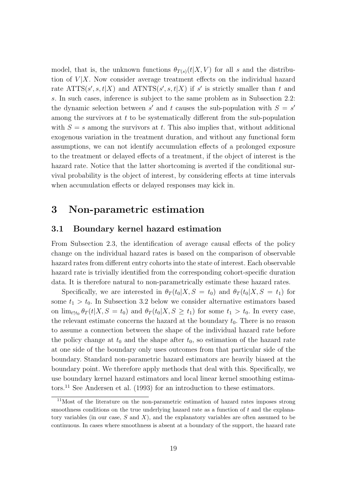model, that is, the unknown functions  $\theta_{T(s)}(t|X, V)$  for all *s* and the distribution of  $V|X$ . Now consider average treatment effects on the individual hazard rate  $\text{ATTS}(s', s, t | X)$  and  $\text{ATNTS}(s', s, t | X)$  if *s'* is strictly smaller than *t* and *s*. In such cases, inference is subject to the same problem as in Subsection 2.2: the dynamic selection between *s'* and *t* causes the sub-population with  $S = s'$ among the survivors at *t* to be systematically different from the sub-population with  $S = s$  among the survivors at t. This also implies that, without additional exogenous variation in the treatment duration, and without any functional form assumptions, we can not identify accumulation effects of a prolonged exposure to the treatment or delayed effects of a treatment, if the object of interest is the hazard rate. Notice that the latter shortcoming is averted if the conditional survival probability is the object of interest, by considering effects at time intervals when accumulation effects or delayed responses may kick in.

### **3 Non-parametric estimation**

#### **3.1 Boundary kernel hazard estimation**

From Subsection 2.3, the identification of average causal effects of the policy change on the individual hazard rates is based on the comparison of observable hazard rates from different entry cohorts into the state of interest. Each observable hazard rate is trivially identified from the corresponding cohort-specific duration data. It is therefore natural to non-parametrically estimate these hazard rates.

Specifically, we are interested in  $\theta_T(t_0|X, S = t_0)$  and  $\theta_T(t_0|X, S = t_1)$  for some  $t_1 > t_0$ . In Subsection 3.2 below we consider alternative estimators based on  $\lim_{t \uparrow t_0} \theta_T(t|X, S = t_0)$  and  $\theta_T(t_0|X, S \ge t_1)$  for some  $t_1 > t_0$ . In every case, the relevant estimate concerns the hazard at the boundary  $t_0$ . There is no reason to assume a connection between the shape of the individual hazard rate before the policy change at  $t_0$  and the shape after  $t_0$ , so estimation of the hazard rate at one side of the boundary only uses outcomes from that particular side of the boundary. Standard non-parametric hazard estimators are heavily biased at the boundary point. We therefore apply methods that deal with this. Specifically, we use boundary kernel hazard estimators and local linear kernel smoothing estimators.<sup>11</sup> See Andersen et al. (1993) for an introduction to these estimators.

<sup>11</sup>Most of the literature on the non-parametric estimation of hazard rates imposes strong smoothness conditions on the true underlying hazard rate as a function of *t* and the explanatory variables (in our case, *S* and *X*), and the explanatory variables are often assumed to be continuous. In cases where smoothness is absent at a boundary of the support, the hazard rate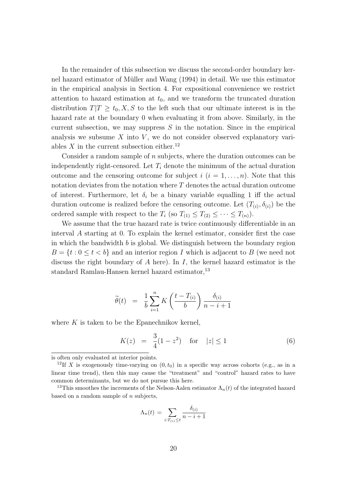In the remainder of this subsection we discuss the second-order boundary kernel hazard estimator of Müller and Wang (1994) in detail. We use this estimator in the empirical analysis in Section 4. For expositional convenience we restrict attention to hazard estimation at  $t_0$ , and we transform the truncated duration distribution  $T|T \geq t_0, X, S$  to the left such that our ultimate interest is in the hazard rate at the boundary 0 when evaluating it from above. Similarly, in the current subsection, we may suppress *S* in the notation. Since in the empirical analysis we subsume X into V, we do not consider observed explanatory variables  $X$  in the current subsection either.<sup>12</sup>

Consider a random sample of *n* subjects, where the duration outcomes can be independently right-censored. Let  $T_i$  denote the minimum of the actual duration outcome and the censoring outcome for subject  $i$  ( $i = 1, \ldots, n$ ). Note that this notation deviates from the notation where *T* denotes the actual duration outcome of interest. Furthermore, let  $\delta_i$  be a binary variable equalling 1 iff the actual duration outcome is realized before the censoring outcome. Let  $(T_{(i)}, \delta_{(i)})$  be the ordered sample with respect to the  $T_i$  (so  $T_{(1)} \leq T_{(2)} \leq \cdots \leq T_{(n)}$ ).

We assume that the true hazard rate is twice continuously differentiable in an interval *A* starting at 0. To explain the kernel estimator, consider first the case in which the bandwidth *b* is global. We distinguish between the boundary region  $B = \{t : 0 \le t < b\}$  and an interior region *I* which is adjacent to *B* (we need not discuss the right boundary of *A* here). In *I*, the kernel hazard estimator is the standard Ramlau-Hansen kernel hazard estimator.<sup>13</sup>

$$
\widetilde{\theta}(t) = \frac{1}{b} \sum_{i=1}^{n} K\left(\frac{t - T_{(i)}}{b}\right) \frac{\delta_{(i)}}{n - i + 1}
$$

where *K* is taken to be the Epanechnikov kernel,

$$
K(z) = \frac{3}{4}(1 - z^2) \quad \text{for} \quad |z| \le 1 \tag{6}
$$

$$
\Lambda_n(t) = \sum_{i:T_{(i)} \le t} \frac{\delta_{(i)}}{n-i+1}
$$

is often only evaluated at interior points.

<sup>&</sup>lt;sup>12</sup>If *X* is exogenously time-varying on  $(0, t_0)$  in a specific way across cohorts (e.g., as in a linear time trend), then this may cause the "treatment" and "control" hazard rates to have common determinants, but we do not pursue this here.

<sup>&</sup>lt;sup>13</sup>This smoothes the increments of the Nelson-Aalen estimator  $\Lambda_n(t)$  of the integrated hazard based on a random sample of *n* subjects,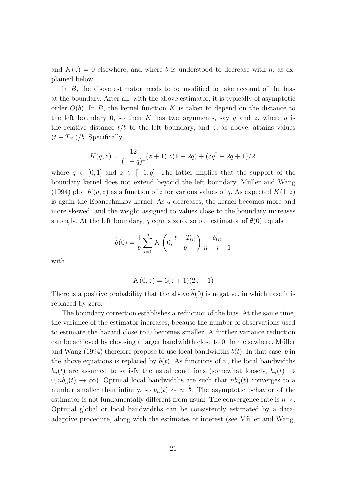and  $K(z) = 0$  elsewhere, and where *b* is understood to decrease with *n*, as explained below.

In *B*, the above estimator needs to be modified to take account of the bias at the boundary. After all, with the above estimator, it is typically of asymptotic order  $O(b)$ . In *B*, the kernel function *K* is taken to depend on the distance to the left boundary 0, so then K has two arguments, say q and z, where q is the relative distance  $t/b$  to the left boundary, and  $z$ , as above, attains values  $(t - T_{(i)})/b$ . Specifically,

$$
K(q, z) = \frac{12}{(1+q)^4} (z+1)[z(1-2q) + (3q^2 - 2q + 1)/2]
$$

where  $q \in [0,1]$  and  $z \in [-1,q]$ . The latter implies that the support of the boundary kernel does not extend beyond the left boundary. Müller and Wang (1994) plot  $K(q, z)$  as a function of z for various values of q. As expected  $K(1, z)$ is again the Epanechnikov kernel. As *q* decreases, the kernel becomes more and more skewed, and the weight assigned to values close to the boundary increases strongly. At the left boundary, *q* equals zero, so our estimator of  $\theta(0)$  equals

$$
\widetilde{\theta}(0) = \frac{1}{b} \sum_{i=1}^{n} K\left(0, \frac{t - T_{(i)}}{b}\right) \frac{\delta_{(i)}}{n - i + 1}
$$

with

$$
K(0, z) = 6(z + 1)(2z + 1)
$$

There is a positive probability that the above  $\tilde{\theta}(0)$  is negative, in which case it is replaced by zero.

The boundary correction establishes a reduction of the bias. At the same time, the variance of the estimator increases, because the number of observations used to estimate the hazard close to 0 becomes smaller. A further variance reduction can be achieved by choosing a larger bandwidth close to  $0$  than elsewhere. Müller and Wang (1994) therefore propose to use local bandwidths  $b(t)$ . In that case, *b* in the above equations is replaced by  $b(t)$ . As functions of *n*, the local bandwidths  $b_n(t)$  are assumed to satisfy the usual conditions (somewhat loosely,  $b_n(t) \rightarrow$  $(0, nb_n(t) \to \infty)$ . Optimal local bandwidths are such that  $nb_n^5(t)$  converges to a number smaller than infinity, so  $b_n(t) \sim n^{-\frac{1}{5}}$ . The asymptotic behavior of the estimator is not fundamentally different from usual. The convergence rate is  $n^{-\frac{2}{5}}$ . Optimal global or local bandwidths can be consistently estimated by a dataadaptive procedure, along with the estimates of interest (see Müller and Wang,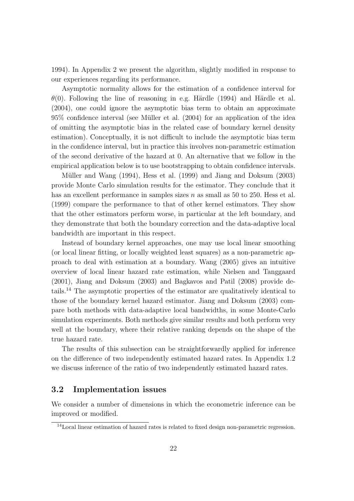1994). In Appendix 2 we present the algorithm, slightly modified in response to our experiences regarding its performance.

Asymptotic normality allows for the estimation of a confidence interval for  $\theta(0)$ . Following the line of reasoning in e.g. Härdle (1994) and Härdle et al. (2004), one could ignore the asymptotic bias term to obtain an approximate  $95\%$  confidence interval (see Müller et al.  $(2004)$  for an application of the idea of omitting the asymptotic bias in the related case of boundary kernel density estimation). Conceptually, it is not difficult to include the asymptotic bias term in the confidence interval, but in practice this involves non-parametric estimation of the second derivative of the hazard at 0. An alternative that we follow in the empirical application below is to use bootstrapping to obtain confidence intervals.

Müller and Wang (1994), Hess et al. (1999) and Jiang and Doksum (2003) provide Monte Carlo simulation results for the estimator. They conclude that it has an excellent performance in samples sizes *n* as small as 50 to 250. Hess et al. (1999) compare the performance to that of other kernel estimators. They show that the other estimators perform worse, in particular at the left boundary, and they demonstrate that both the boundary correction and the data-adaptive local bandwidth are important in this respect.

Instead of boundary kernel approaches, one may use local linear smoothing (or local linear fitting, or locally weighted least squares) as a non-parametric approach to deal with estimation at a boundary. Wang (2005) gives an intuitive overview of local linear hazard rate estimation, while Nielsen and Tanggaard (2001), Jiang and Doksum (2003) and Bagkavos and Patil (2008) provide details.<sup>14</sup> The asymptotic properties of the estimator are qualitatively identical to those of the boundary kernel hazard estimator. Jiang and Doksum (2003) compare both methods with data-adaptive local bandwidths, in some Monte-Carlo simulation experiments. Both methods give similar results and both perform very well at the boundary, where their relative ranking depends on the shape of the true hazard rate.

The results of this subsection can be straightforwardly applied for inference on the difference of two independently estimated hazard rates. In Appendix 1.2 we discuss inference of the ratio of two independently estimated hazard rates.

#### **3.2 Implementation issues**

We consider a number of dimensions in which the econometric inference can be improved or modified.

<sup>&</sup>lt;sup>14</sup>Local linear estimation of hazard rates is related to fixed design non-parametric regression.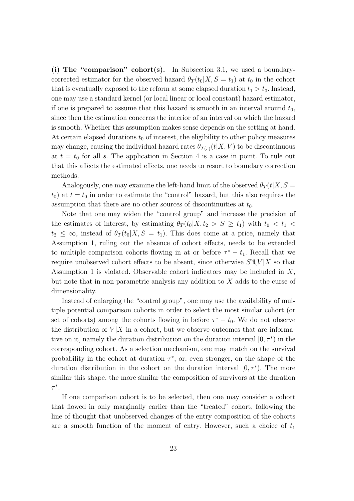**(i) The "comparison" cohort(s).** In Subsection 3.1, we used a boundarycorrected estimator for the observed hazard  $\theta_T(t_0|X, S = t_1)$  at  $t_0$  in the cohort that is eventually exposed to the reform at some elapsed duration  $t_1 > t_0$ . Instead, one may use a standard kernel (or local linear or local constant) hazard estimator, if one is prepared to assume that this hazard is smooth in an interval around  $t_0$ , since then the estimation concerns the interior of an interval on which the hazard is smooth. Whether this assumption makes sense depends on the setting at hand. At certain elapsed durations  $t_0$  of interest, the eligibility to other policy measures may change, causing the individual hazard rates  $\theta_{T(s)}(t|X, V)$  to be discontinuous at  $t = t_0$  for all *s*. The application in Section 4 is a case in point. To rule out that this affects the estimated effects, one needs to resort to boundary correction methods.

Analogously, one may examine the left-hand limit of the observed  $\theta_T(t|X, S=$  $t_0$ ) at  $t = t_0$  in order to estimate the "control" hazard, but this also requires the assumption that there are no other sources of discontinuities at *t*0.

Note that one may widen the "control group" and increase the precision of the estimates of interest, by estimating  $\theta_T(t_0|X,t_2 > S \geq t_1)$  with  $t_0 < t_1 <$  $t_2 \leq \infty$ , instead of  $\theta_T(t_0|X, S = t_1)$ . This does come at a price, namely that Assumption 1, ruling out the absence of cohort effects, needs to be extended to multiple comparison cohorts flowing in at or before  $\tau^* - t_1$ . Recall that we require unobserved cohort effects to be absent, since otherwise *S⊥⊥V |X* so that Assumption 1 is violated. Observable cohort indicators may be included in *X*, but note that in non-parametric analysis any addition to *X* adds to the curse of dimensionality.

Instead of enlarging the "control group", one may use the availability of multiple potential comparison cohorts in order to select the most similar cohort (or set of cohorts) among the cohorts flowing in before  $\tau^* - t_0$ . We do not observe the distribution of  $V|X$  in a cohort, but we observe outcomes that are informative on it, namely the duration distribution on the duration interval  $[0, \tau^*$  in the corresponding cohort. As a selection mechanism, one may match on the survival probability in the cohort at duration  $\tau^*$ , or, even stronger, on the shape of the duration distribution in the cohort on the duration interval  $[0, \tau^*$ ). The more similar this shape, the more similar the composition of survivors at the duration *τ ∗* .

If one comparison cohort is to be selected, then one may consider a cohort that flowed in only marginally earlier than the "treated" cohort, following the line of thought that unobserved changes of the entry composition of the cohorts are a smooth function of the moment of entry. However, such a choice of  $t_1$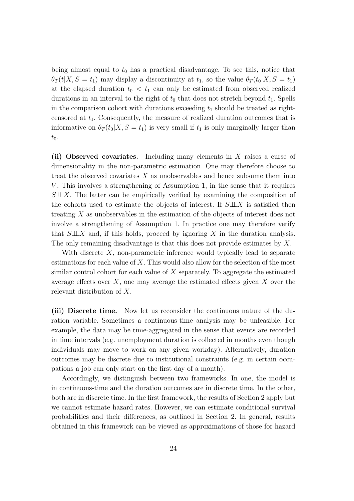being almost equal to  $t_0$  has a practical disadvantage. To see this, notice that  $\theta_T(t|X, S = t_1)$  may display a discontinuity at  $t_1$ , so the value  $\theta_T(t_0|X, S = t_1)$ at the elapsed duration  $t_0 < t_1$  can only be estimated from observed realized durations in an interval to the right of  $t_0$  that does not stretch beyond  $t_1$ . Spells in the comparison cohort with durations exceeding  $t_1$  should be treated as rightcensored at *t*1. Consequently, the measure of realized duration outcomes that is informative on  $\theta_T(t_0|X, S = t_1)$  is very small if  $t_1$  is only marginally larger than  $t_0$ .

**(ii) Observed covariates.** Including many elements in *X* raises a curse of dimensionality in the non-parametric estimation. One may therefore choose to treat the observed covariates *X* as unobservables and hence subsume them into *V*. This involves a strengthening of Assumption 1, in the sense that it requires *S⊥⊥X*. The latter can be empirically verified by examining the composition of the cohorts used to estimate the objects of interest. If *S⊥⊥X* is satisfied then treating *X* as unobservables in the estimation of the objects of interest does not involve a strengthening of Assumption 1. In practice one may therefore verify that *S⊥⊥X* and, if this holds, proceed by ignoring *X* in the duration analysis. The only remaining disadvantage is that this does not provide estimates by *X*.

With discrete X, non-parametric inference would typically lead to separate estimations for each value of *X*. This would also allow for the selection of the most similar control cohort for each value of *X* separately. To aggregate the estimated average effects over *X*, one may average the estimated effects given *X* over the relevant distribution of *X*.

**(iii) Discrete time.** Now let us reconsider the continuous nature of the duration variable. Sometimes a continuous-time analysis may be unfeasible. For example, the data may be time-aggregated in the sense that events are recorded in time intervals (e.g. unemployment duration is collected in months even though individuals may move to work on any given workday). Alternatively, duration outcomes may be discrete due to institutional constraints (e.g. in certain occupations a job can only start on the first day of a month).

Accordingly, we distinguish between two frameworks. In one, the model is in continuous-time and the duration outcomes are in discrete time. In the other, both are in discrete time. In the first framework, the results of Section 2 apply but we cannot estimate hazard rates. However, we can estimate conditional survival probabilities and their differences, as outlined in Section 2. In general, results obtained in this framework can be viewed as approximations of those for hazard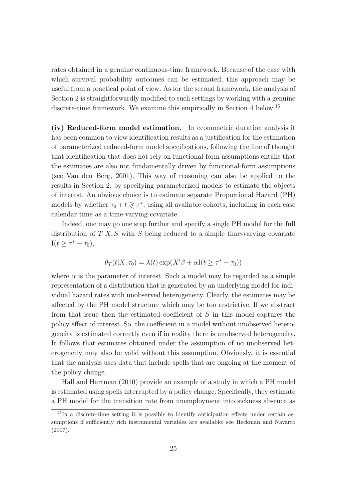rates obtained in a genuine continuous-time framework. Because of the ease with which survival probability outcomes can be estimated, this approach may be useful from a practical point of view. As for the second framework, the analysis of Section 2 is straightforwardly modified to such settings by working with a genuine discrete-time framework. We examine this empirically in Section 4 below.<sup>15</sup>

**(iv) Reduced-form model estimation.** In econometric duration analysis it has been common to view identification results as a justification for the estimation of parameterized reduced-form model specifications, following the line of thought that identification that does not rely on functional-form assumptions entails that the estimates are also not fundamentally driven by functional-form assumptions (see Van den Berg, 2001). This way of reasoning can also be applied to the results in Section 2, by specifying parameterized models to estimate the objects of interest. An obvious choice is to estimate separate Proportional Hazard (PH) models by whether  $\tau_0 + t \geq \tau^*$ , using all available cohorts, including in each case calendar time as a time-varying covariate.

Indeed, one may go one step further and specify a single PH model for the full distribution of  $T|X, S$  with *S* being reduced to a simple time-varying covariate  $I(t \geq \tau^* - \tau_0),$ 

$$
\theta_T(t|X,\tau_0) = \lambda(t) \exp(X'\beta + \alpha I(t \ge \tau^* - \tau_0))
$$

where  $\alpha$  is the parameter of interest. Such a model may be regarded as a simple representation of a distribution that is generated by an underlying model for individual hazard rates with unobserved heterogeneity. Clearly, the estimates may be affected by the PH model structure which may be too restrictive. If we abstract from that issue then the estimated coefficient of *S* in this model captures the policy effect of interest. So, the coefficient in a model without unobserved heterogeneity is estimated correctly even if in reality there is unobserved heterogeneity. It follows that estimates obtained under the assumption of no unobserved heterogeneity may also be valid without this assumption. Obviously, it is essential that the analysis uses data that include spells that are ongoing at the moment of the policy change.

Hall and Hartman (2010) provide an example of a study in which a PH model is estimated using spells interrupted by a policy change. Specifically, they estimate a PH model for the transition rate from unemployment into sickness absence as

<sup>&</sup>lt;sup>15</sup>In a discrete-time setting it is possible to identify anticipation effects under certain assumptions if sufficiently rich instrumental variables are available; see Heckman and Navarro (2007).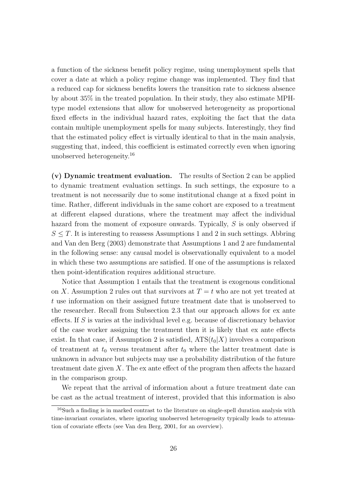a function of the sickness benefit policy regime, using unemployment spells that cover a date at which a policy regime change was implemented. They find that a reduced cap for sickness benefits lowers the transition rate to sickness absence by about 35% in the treated population. In their study, they also estimate MPHtype model extensions that allow for unobserved heterogeneity as proportional fixed effects in the individual hazard rates, exploiting the fact that the data contain multiple unemployment spells for many subjects. Interestingly, they find that the estimated policy effect is virtually identical to that in the main analysis, suggesting that, indeed, this coefficient is estimated correctly even when ignoring unobserved heterogeneity.<sup>16</sup>

**(v) Dynamic treatment evaluation.** The results of Section 2 can be applied to dynamic treatment evaluation settings. In such settings, the exposure to a treatment is not necessarily due to some institutional change at a fixed point in time. Rather, different individuals in the same cohort are exposed to a treatment at different elapsed durations, where the treatment may affect the individual hazard from the moment of exposure onwards. Typically, *S* is only observed if  $S \leq T$ . It is interesting to reassess Assumptions 1 and 2 in such settings. Abbring and Van den Berg (2003) demonstrate that Assumptions 1 and 2 are fundamental in the following sense: any causal model is observationally equivalent to a model in which these two assumptions are satisfied. If one of the assumptions is relaxed then point-identification requires additional structure.

Notice that Assumption 1 entails that the treatment is exogenous conditional on *X*. Assumption 2 rules out that survivors at  $T = t$  who are not yet treated at *t* use information on their assigned future treatment date that is unobserved to the researcher. Recall from Subsection 2.3 that our approach allows for ex ante effects. If *S* is varies at the individual level e.g. because of discretionary behavior of the case worker assigning the treatment then it is likely that ex ante effects exist. In that case, if Assumption 2 is satisfied,  $ATS(t_0|X)$  involves a comparison of treatment at  $t_0$  versus treatment after  $t_0$  where the latter treatment date is unknown in advance but subjects may use a probability distribution of the future treatment date given *X*. The ex ante effect of the program then affects the hazard in the comparison group.

We repeat that the arrival of information about a future treatment date can be cast as the actual treatment of interest, provided that this information is also

<sup>&</sup>lt;sup>16</sup>Such a finding is in marked contrast to the literature on single-spell duration analysis with time-invariant covariates, where ignoring unobserved heterogeneity typically leads to attenuation of covariate effects (see Van den Berg, 2001, for an overview).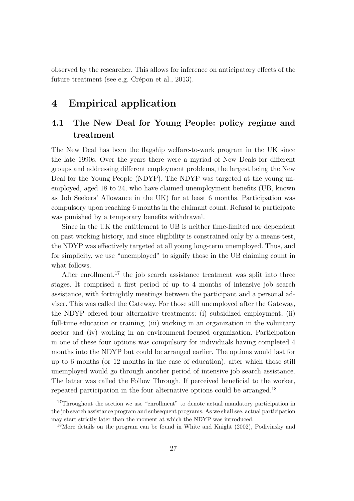observed by the researcher. This allows for inference on anticipatory effects of the future treatment (see e.g. Crépon et al., 2013).

### **4 Empirical application**

### **4.1 The New Deal for Young People: policy regime and treatment**

The New Deal has been the flagship welfare-to-work program in the UK since the late 1990s. Over the years there were a myriad of New Deals for different groups and addressing different employment problems, the largest being the New Deal for the Young People (NDYP). The NDYP was targeted at the young unemployed, aged 18 to 24, who have claimed unemployment benefits (UB, known as Job Seekers' Allowance in the UK) for at least 6 months. Participation was compulsory upon reaching 6 months in the claimant count. Refusal to participate was punished by a temporary benefits withdrawal.

Since in the UK the entitlement to UB is neither time-limited nor dependent on past working history, and since eligibility is constrained only by a means-test, the NDYP was effectively targeted at all young long-term unemployed. Thus, and for simplicity, we use "unemployed" to signify those in the UB claiming count in what follows.

After enrollment,<sup>17</sup> the job search assistance treatment was split into three stages. It comprised a first period of up to 4 months of intensive job search assistance, with fortnightly meetings between the participant and a personal adviser. This was called the Gateway. For those still unemployed after the Gateway, the NDYP offered four alternative treatments: (i) subsidized employment, (ii) full-time education or training, (iii) working in an organization in the voluntary sector and (iv) working in an environment-focused organization. Participation in one of these four options was compulsory for individuals having completed 4 months into the NDYP but could be arranged earlier. The options would last for up to 6 months (or 12 months in the case of education), after which those still unemployed would go through another period of intensive job search assistance. The latter was called the Follow Through. If perceived beneficial to the worker, repeated participation in the four alternative options could be arranged.<sup>18</sup>

<sup>&</sup>lt;sup>17</sup>Throughout the section we use "enrollment" to denote actual mandatory participation in the job search assistance program and subsequent programs. As we shall see, actual participation may start strictly later than the moment at which the NDYP was introduced.

<sup>18</sup>More details on the program can be found in White and Knight (2002), Podivinsky and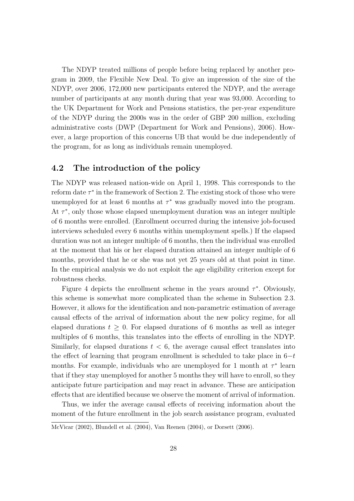The NDYP treated millions of people before being replaced by another program in 2009, the Flexible New Deal. To give an impression of the size of the NDYP, over 2006, 172,000 new participants entered the NDYP, and the average number of participants at any month during that year was 93,000. According to the UK Department for Work and Pensions statistics, the per-year expenditure of the NDYP during the 2000s was in the order of GBP 200 million, excluding administrative costs (DWP (Department for Work and Pensions), 2006). However, a large proportion of this concerns UB that would be due independently of the program, for as long as individuals remain unemployed.

#### **4.2 The introduction of the policy**

The NDYP was released nation-wide on April 1, 1998. This corresponds to the reform date *τ ∗* in the framework of Section 2. The existing stock of those who were unemployed for at least 6 months at *τ <sup>∗</sup>* was gradually moved into the program. At *τ ∗* , only those whose elapsed unemployment duration was an integer multiple of 6 months were enrolled. (Enrollment occurred during the intensive job-focused interviews scheduled every 6 months within unemployment spells.) If the elapsed duration was not an integer multiple of 6 months, then the individual was enrolled at the moment that his or her elapsed duration attained an integer multiple of 6 months, provided that he or she was not yet 25 years old at that point in time. In the empirical analysis we do not exploit the age eligibility criterion except for robustness checks.

Figure 4 depicts the enrollment scheme in the years around  $\tau^*$ . Obviously, this scheme is somewhat more complicated than the scheme in Subsection 2.3. However, it allows for the identification and non-parametric estimation of average causal effects of the arrival of information about the new policy regime, for all elapsed durations  $t \geq 0$ . For elapsed durations of 6 months as well as integer multiples of 6 months, this translates into the effects of enrolling in the NDYP. Similarly, for elapsed durations  $t < 6$ , the average causal effect translates into the effect of learning that program enrollment is scheduled to take place in 6*−t* months. For example, individuals who are unemployed for 1 month at *τ ∗* learn that if they stay unemployed for another 5 months they will have to enroll, so they anticipate future participation and may react in advance. These are anticipation effects that are identified because we observe the moment of arrival of information.

Thus, we infer the average causal effects of receiving information about the moment of the future enrollment in the job search assistance program, evaluated

McVicar (2002), Blundell et al. (2004), Van Reenen (2004), or Dorsett (2006).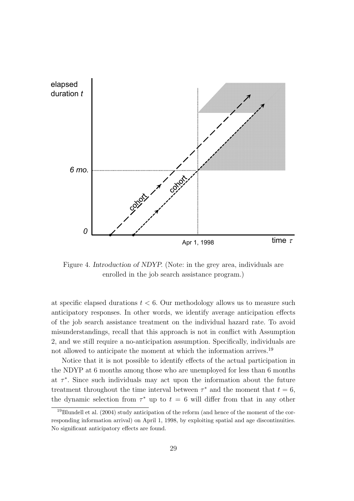

Figure 4. *Introduction of NDYP.* (Note: in the grey area, individuals are enrolled in the job search assistance program.)

at specific elapsed durations  $t < 6$ . Our methodology allows us to measure such anticipatory responses. In other words, we identify average anticipation effects of the job search assistance treatment on the individual hazard rate. To avoid misunderstandings, recall that this approach is not in conflict with Assumption 2, and we still require a no-anticipation assumption. Specifically, individuals are not allowed to anticipate the moment at which the information arrives.<sup>19</sup>

Notice that it is not possible to identify effects of the actual participation in the NDYP at 6 months among those who are unemployed for less than 6 months at  $\tau^*$ . Since such individuals may act upon the information about the future treatment throughout the time interval between  $\tau^*$  and the moment that  $t = 6$ , the dynamic selection from  $\tau^*$  up to  $t = 6$  will differ from that in any other

<sup>19</sup>Blundell et al. (2004) study anticipation of the reform (and hence of the moment of the corresponding information arrival) on April 1, 1998, by exploiting spatial and age discontinuities. No significant anticipatory effects are found.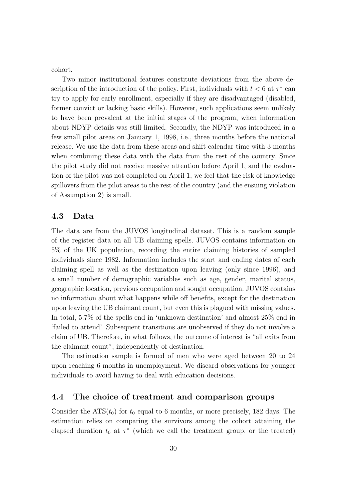cohort.

Two minor institutional features constitute deviations from the above description of the introduction of the policy. First, individuals with  $t < 6$  at  $\tau^*$  can try to apply for early enrollment, especially if they are disadvantaged (disabled, former convict or lacking basic skills). However, such applications seem unlikely to have been prevalent at the initial stages of the program, when information about NDYP details was still limited. Secondly, the NDYP was introduced in a few small pilot areas on January 1, 1998, i.e., three months before the national release. We use the data from these areas and shift calendar time with 3 months when combining these data with the data from the rest of the country. Since the pilot study did not receive massive attention before April 1, and the evaluation of the pilot was not completed on April 1, we feel that the risk of knowledge spillovers from the pilot areas to the rest of the country (and the ensuing violation of Assumption 2) is small.

#### **4.3 Data**

The data are from the JUVOS longitudinal dataset. This is a random sample of the register data on all UB claiming spells. JUVOS contains information on 5% of the UK population, recording the entire claiming histories of sampled individuals since 1982. Information includes the start and ending dates of each claiming spell as well as the destination upon leaving (only since 1996), and a small number of demographic variables such as age, gender, marital status, geographic location, previous occupation and sought occupation. JUVOS contains no information about what happens while off benefits, except for the destination upon leaving the UB claimant count, but even this is plagued with missing values. In total, 5.7% of the spells end in 'unknown destination' and almost 25% end in 'failed to attend'. Subsequent transitions are unobserved if they do not involve a claim of UB. Therefore, in what follows, the outcome of interest is "all exits from the claimant count", independently of destination.

The estimation sample is formed of men who were aged between 20 to 24 upon reaching 6 months in unemployment. We discard observations for younger individuals to avoid having to deal with education decisions.

#### **4.4 The choice of treatment and comparison groups**

Consider the  $ATS(t_0)$  for  $t_0$  equal to 6 months, or more precisely, 182 days. The estimation relies on comparing the survivors among the cohort attaining the elapsed duration  $t_0$  at  $\tau^*$  (which we call the treatment group, or the treated)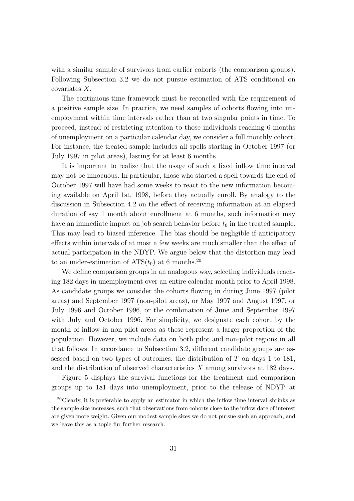with a similar sample of survivors from earlier cohorts (the comparison groups). Following Subsection 3.2 we do not pursue estimation of ATS conditional on covariates *X*.

The continuous-time framework must be reconciled with the requirement of a positive sample size. In practice, we need samples of cohorts flowing into unemployment within time intervals rather than at two singular points in time. To proceed, instead of restricting attention to those individuals reaching 6 months of unemployment on a particular calendar day, we consider a full monthly cohort. For instance, the treated sample includes all spells starting in October 1997 (or July 1997 in pilot areas), lasting for at least 6 months.

It is important to realize that the usage of such a fixed inflow time interval may not be innocuous. In particular, those who started a spell towards the end of October 1997 will have had some weeks to react to the new information becoming available on April 1st, 1998, before they actually enroll. By analogy to the discussion in Subsection 4.2 on the effect of receiving information at an elapsed duration of say 1 month about enrollment at 6 months, such information may have an immediate impact on job search behavior before  $t_0$  in the treated sample. This may lead to biased inference. The bias should be negligible if anticipatory effects within intervals of at most a few weeks are much smaller than the effect of actual participation in the NDYP. We argue below that the distortion may lead to an under-estimation of  $ATS(t_0)$  at 6 months.<sup>20</sup>

We define comparison groups in an analogous way, selecting individuals reaching 182 days in unemployment over an entire calendar month prior to April 1998. As candidate groups we consider the cohorts flowing in during June 1997 (pilot areas) and September 1997 (non-pilot areas), or May 1997 and August 1997, or July 1996 and October 1996, or the combination of June and September 1997 with July and October 1996. For simplicity, we designate each cohort by the month of inflow in non-pilot areas as these represent a larger proportion of the population. However, we include data on both pilot and non-pilot regions in all that follows. In accordance to Subsection 3.2, different candidate groups are assessed based on two types of outcomes: the distribution of *T* on days 1 to 181, and the distribution of observed characteristics *X* among survivors at 182 days.

Figure 5 displays the survival functions for the treatment and comparison groups up to 181 days into unemployment, prior to the release of NDYP at

 $20$ Clearly, it is preferable to apply an estimator in which the inflow time interval shrinks as the sample size increases, such that observations from cohorts close to the inflow date of interest are given more weight. Given our modest sample sizes we do not pursue such an approach, and we leave this as a topic fur further research.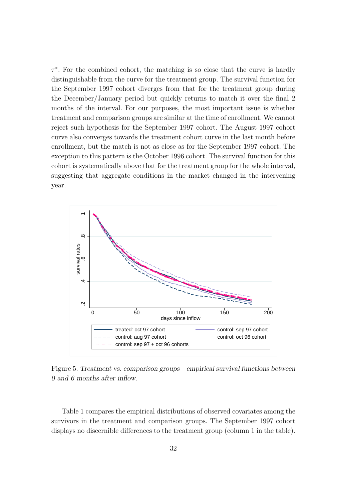*τ ∗* . For the combined cohort, the matching is so close that the curve is hardly distinguishable from the curve for the treatment group. The survival function for the September 1997 cohort diverges from that for the treatment group during the December/January period but quickly returns to match it over the final 2 months of the interval. For our purposes, the most important issue is whether treatment and comparison groups are similar at the time of enrollment. We cannot reject such hypothesis for the September 1997 cohort. The August 1997 cohort curve also converges towards the treatment cohort curve in the last month before enrollment, but the match is not as close as for the September 1997 cohort. The exception to this pattern is the October 1996 cohort. The survival function for this cohort is systematically above that for the treatment group for the whole interval, suggesting that aggregate conditions in the market changed in the intervening year.



Figure 5. *Treatment vs. comparison groups – empirical survival functions between 0 and 6 months after inflow.*

Table 1 compares the empirical distributions of observed covariates among the survivors in the treatment and comparison groups. The September 1997 cohort displays no discernible differences to the treatment group (column 1 in the table).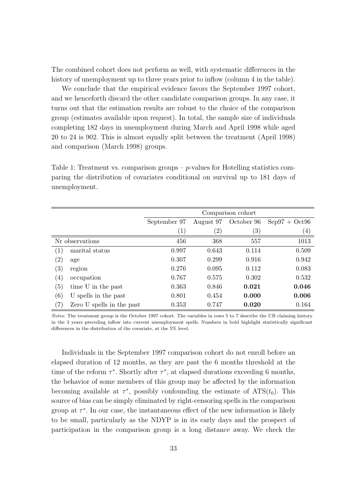The combined cohort does not perform as well, with systematic differences in the history of unemployment up to three years prior to inflow (column 4 in the table).

We conclude that the empirical evidence favors the September 1997 cohort, and we henceforth discard the other candidate comparison groups. In any case, it turns out that the estimation results are robust to the choice of the comparison group (estimates available upon request). In total, the sample size of individuals completing 182 days in unemployment during March and April 1998 while aged 20 to 24 is 902. This is almost equally split between the treatment (April 1998) and comparison (March 1998) groups.

Table 1: Treatment vs. comparison groups – *p*-values for Hotelling statistics comparing the distribution of covariates conditional on survival up to 181 days of unemployment.

|                   |                           | Comparison cohort |                   |                   |                   |
|-------------------|---------------------------|-------------------|-------------------|-------------------|-------------------|
|                   |                           | September 97      | August 97         | October 96        | $Sep97 + Oct96$   |
|                   |                           | $\left( 1\right)$ | $\left( 2\right)$ | $\left( 3\right)$ | $\left( 4\right)$ |
| Nr observations   |                           | 456               | 368               | 557               | 1013              |
| $\left( 1\right)$ | marital status            | 0.997             | 0.643             | 0.114             | 0.509             |
| $\left( 2\right)$ | age                       | 0.307             | 0.299             | 0.916             | 0.942             |
| $\left( 3\right)$ | region                    | 0.276             | 0.095             | 0.112             | 0.083             |
| $\left( 4\right)$ | occupation                | 0.767             | 0.575             | 0.302             | 0.532             |
| $\left( 5\right)$ | time U in the past        | 0.363             | 0.846             | 0.021             | 0.046             |
| (6)               | U spells in the past      | 0.801             | 0.454             | 0.000             | 0.006             |
| (7)               | Zero U spells in the past | 0.353             | 0.747             | 0.020             | 0.164             |

*Notes*: The treatment group is the October 1997 cohort. The variables in rows 5 to 7 describe the UB claiming history in the 3 years preceding inflow into current unemployment spells. Numbers in bold highlight statistically significant differences in the distribution of the covariate, at the 5% level.

Individuals in the September 1997 comparison cohort do not enroll before an elapsed duration of 12 months, as they are past the 6 months threshold at the time of the reform  $\tau^*$ . Shortly after  $\tau^*$ , at elapsed durations exceeding 6 months, the behavior of some members of this group may be affected by the information becoming available at  $\tau^*$ , possibly confounding the estimate of  $ATS(t_0)$ . This source of bias can be simply eliminated by right-censoring spells in the comparison group at  $\tau^*$ . In our case, the instantaneous effect of the new information is likely to be small, particularly as the NDYP is in its early days and the prospect of participation in the comparison group is a long distance away. We check the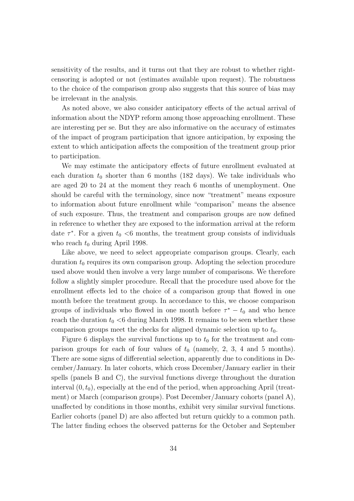sensitivity of the results, and it turns out that they are robust to whether rightcensoring is adopted or not (estimates available upon request). The robustness to the choice of the comparison group also suggests that this source of bias may be irrelevant in the analysis.

As noted above, we also consider anticipatory effects of the actual arrival of information about the NDYP reform among those approaching enrollment. These are interesting per se. But they are also informative on the accuracy of estimates of the impact of program participation that ignore anticipation, by exposing the extent to which anticipation affects the composition of the treatment group prior to participation.

We may estimate the anticipatory effects of future enrollment evaluated at each duration  $t_0$  shorter than 6 months (182 days). We take individuals who are aged 20 to 24 at the moment they reach 6 months of unemployment. One should be careful with the terminology, since now "treatment" means exposure to information about future enrollment while "comparison" means the absence of such exposure. Thus, the treatment and comparison groups are now defined in reference to whether they are exposed to the information arrival at the reform date  $\tau^*$ . For a given  $t_0 < 6$  months, the treatment group consists of individuals who reach  $t_0$  during April 1998.

Like above, we need to select appropriate comparison groups. Clearly, each duration  $t_0$  requires its own comparison group. Adopting the selection procedure used above would then involve a very large number of comparisons. We therefore follow a slightly simpler procedure. Recall that the procedure used above for the enrollment effects led to the choice of a comparison group that flowed in one month before the treatment group. In accordance to this, we choose comparison groups of individuals who flowed in one month before  $\tau^* - t_0$  and who hence reach the duration  $t_0 < 6$  during March 1998. It remains to be seen whether these comparison groups meet the checks for aligned dynamic selection up to  $t_0$ .

Figure 6 displays the survival functions up to  $t_0$  for the treatment and comparison groups for each of four values of  $t_0$  (namely, 2, 3, 4 and 5 months). There are some signs of differential selection, apparently due to conditions in December/January. In later cohorts, which cross December/January earlier in their spells (panels B and C), the survival functions diverge throughout the duration interval (0*, t*0), especially at the end of the period, when approaching April (treatment) or March (comparison groups). Post December/January cohorts (panel A), unaffected by conditions in those months, exhibit very similar survival functions. Earlier cohorts (panel D) are also affected but return quickly to a common path. The latter finding echoes the observed patterns for the October and September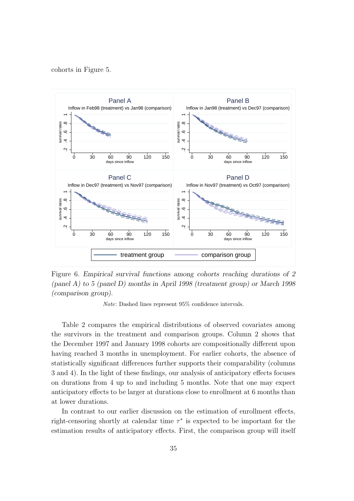#### cohorts in Figure 5.



Figure 6. *Empirical survival functions among cohorts reaching durations of 2 (panel A) to 5 (panel D) months in April 1998 (treatment group) or March 1998 (comparison group).*

*Note*: Dashed lines represent 95% confidence intervals.

Table 2 compares the empirical distributions of observed covariates among the survivors in the treatment and comparison groups. Column 2 shows that the December 1997 and January 1998 cohorts are compositionally different upon having reached 3 months in unemployment. For earlier cohorts, the absence of statistically significant differences further supports their comparability (columns 3 and 4). In the light of these findings, our analysis of anticipatory effects focuses on durations from 4 up to and including 5 months. Note that one may expect anticipatory effects to be larger at durations close to enrollment at 6 months than at lower durations.

In contrast to our earlier discussion on the estimation of enrollment effects, right-censoring shortly at calendar time *τ ∗* is expected to be important for the estimation results of anticipatory effects. First, the comparison group will itself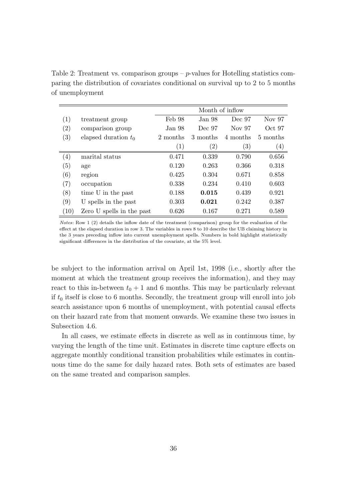Table 2: Treatment vs. comparison groups – *p*-values for Hotelling statistics comparing the distribution of covariates conditional on survival up to 2 to 5 months of unemployment

|                   |                           | Month of inflow   |                   |                   |                   |
|-------------------|---------------------------|-------------------|-------------------|-------------------|-------------------|
| (1)               | treatment group           | Feb 98            | Jan 98            | Dec 97            | Nov 97            |
| $\left( 2\right)$ | comparison group          | Jan 98            | Dec 97            | Nov 97            | Oct 97            |
| $\left( 3\right)$ | elapsed duration $t_0$    | 2 months          | 3 months          | 4 months          | 5 months          |
|                   |                           | $\left( 1\right)$ | $\left( 2\right)$ | $\left( 3\right)$ | $\left( 4\right)$ |
| $\left( 4\right)$ | marital status            | 0.471             | 0.339             | 0.790             | 0.656             |
| (5)               | age                       | 0.120             | 0.263             | 0.366             | 0.318             |
| (6)               | region                    | 0.425             | 0.304             | 0.671             | 0.858             |
| (7)               | occupation                | 0.338             | 0.234             | 0.410             | 0.603             |
| (8)               | time U in the past        | 0.188             | 0.015             | 0.439             | 0.921             |
| (9)               | U spells in the past      | 0.303             | 0.021             | 0.242             | 0.387             |
| (10)              | Zero U spells in the past | 0.626             | 0.167             | 0.271             | 0.589             |

*Notes*: Row 1 (2) details the inflow date of the treatment (comparison) group for the evaluation of the effect at the elapsed duration in row 3. The variables in rows 8 to 10 describe the UB claiming history in the 3 years preceding inflow into current unemployment spells. Numbers in bold highlight statistically significant differences in the distribution of the covariate, at the 5% level.

be subject to the information arrival on April 1st, 1998 (i.e., shortly after the moment at which the treatment group receives the information), and they may react to this in-between  $t_0 + 1$  and 6 months. This may be particularly relevant if  $t_0$  itself is close to 6 months. Secondly, the treatment group will enroll into job search assistance upon 6 months of unemployment, with potential causal effects on their hazard rate from that moment onwards. We examine these two issues in Subsection 4.6.

In all cases, we estimate effects in discrete as well as in continuous time, by varying the length of the time unit. Estimates in discrete time capture effects on aggregate monthly conditional transition probabilities while estimates in continuous time do the same for daily hazard rates. Both sets of estimates are based on the same treated and comparison samples.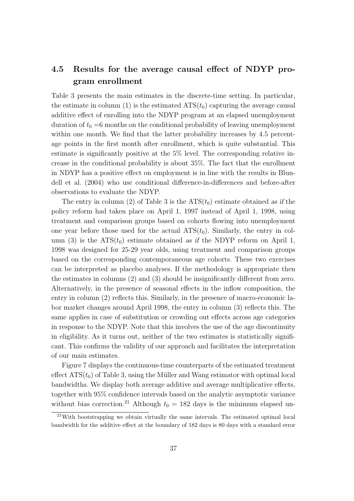### **4.5 Results for the average causal effect of NDYP program enrollment**

Table 3 presents the main estimates in the discrete-time setting. In particular, the estimate in column (1) is the estimated  $ATS(t_0)$  capturing the average causal additive effect of enrolling into the NDYP program at an elapsed unemployment duration of  $t_0 = 6$  months on the conditional probability of leaving unemployment within one month. We find that the latter probability increases by 4.5 percentage points in the first month after enrollment, which is quite substantial. This estimate is significantly positive at the 5% level. The corresponding relative increase in the conditional probability is about 35%. The fact that the enrollment in NDYP has a positive effect on employment is in line with the results in Blundell et al. (2004) who use conditional difference-in-differences and before-after observations to evaluate the NDYP.

The entry in column (2) of Table 3 is the  $ATS(t_0)$  estimate obtained as if the policy reform had taken place on April 1, 1997 instead of April 1, 1998, using treatment and comparison groups based on cohorts flowing into unemployment one year before those used for the actual  $ATS(t_0)$ . Similarly, the entry in column (3) is the  $ATS(t_0)$  estimate obtained *as if* the NDYP reform on April 1, 1998 was designed for 25-29 year olds, using treatment and comparison groups based on the corresponding contemporaneous age cohorts. These two exercises can be interpreted as placebo analyses. If the methodology is appropriate then the estimates in columns (2) and (3) should be insignificantly different from zero. Alternatively, in the presence of seasonal effects in the inflow composition, the entry in column (2) reflects this. Similarly, in the presence of macro-economic labor market changes around April 1998, the entry in column (3) reflects this. The same applies in case of substitution or crowding out effects across age categories in response to the NDYP. Note that this involves the use of the age discontinuity in eligibility. As it turns out, neither of the two estimates is statistically significant. This confirms the validity of our approach and facilitates the interpretation of our main estimates.

Figure 7 displays the continuous-time counterparts of the estimated treatment effect  $ATS(t_0)$  of Table 3, using the Müller and Wang estimator with optimal local bandwidths. We display both average additive and average multiplicative effects, together with 95% confidence intervals based on the analytic asymptotic variance without bias correction.<sup>21</sup> Although  $t_0 = 182$  days is the minimum elapsed un-

 $21$ With bootstrapping we obtain virtually the same intervals. The estimated optimal local bandwidth for the additive effect at the boundary of 182 days is 80 days with a standard error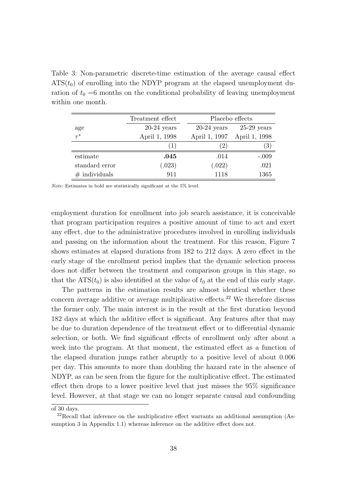Table 3: Non-parametric discrete-time estimation of the average causal effect  $ATS(t_0)$  of enrolling into the NDYP program at the elapsed unemployment duration of  $t_0 = 6$  months on the conditional probability of leaving unemployment within one month.

|                  | Treatment effect | Placebo effects |               |
|------------------|------------------|-----------------|---------------|
| age              | $20-24$ years    | $20-24$ years   | $25-29$ years |
| $\tau^*$         | April 1, 1998    | April 1, 1997   | April 1, 1998 |
|                  | (1)              | (2)             | (3)           |
| estimate         | .045             | .014            | $-.009$       |
| standard error   | (.023)           | (.022)          | .021          |
| $\#$ individuals | 911              | 1118            | 1365          |

*Note*: Estimates in bold are statistically significant at the 5% level.

employment duration for enrollment into job search assistance, it is conceivable that program participation requires a positive amount of time to act and exert any effect, due to the administrative procedures involved in enrolling individuals and passing on the information about the treatment. For this reason, Figure 7 shows estimates at elapsed durations from 182 to 212 days. A zero effect in the early stage of the enrollment period implies that the dynamic selection process does not differ between the treatment and comparison groups in this stage, so that the  $ATS(t_0)$  is also identified at the value of  $t_0$  at the end of this early stage.

The patterns in the estimation results are almost identical whether these concern average additive or average multiplicative effects.<sup>22</sup> We therefore discuss the former only. The main interest is in the result at the first duration beyond 182 days at which the additive effect is significant. Any features after that may be due to duration dependence of the treatment effect or to differential dynamic selection, or both. We find significant effects of enrollment only after about a week into the program. At that moment, the estimated effect as a function of the elapsed duration jumps rather abruptly to a positive level of about 0.006 per day. This amounts to more than doubling the hazard rate in the absence of NDYP, as can be seen from the figure for the multiplicative effect. The estimated effect then drops to a lower positive level that just misses the 95% significance level. However, at that stage we can no longer separate causal and confounding

of 30 days.

 $^{22}$ Recall that inference on the multiplicative effect warrants an additional assumption (Assumption 3 in Appendix 1.1) whereas inference on the additive effect does not.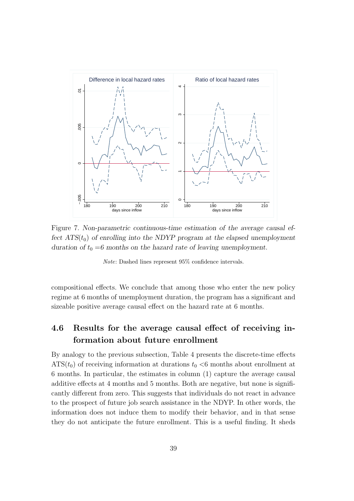

Figure 7. *Non-parametric continuous-time estimation of the average causal effect*  $ATS(t_0)$  *of enrolling into the NDYP program at the elapsed unemployment duration of*  $t_0 = 6$  months on the hazard rate of leaving unemployment.

*Note*: Dashed lines represent 95% confidence intervals.

compositional effects. We conclude that among those who enter the new policy regime at 6 months of unemployment duration, the program has a significant and sizeable positive average causal effect on the hazard rate at 6 months.

### **4.6 Results for the average causal effect of receiving information about future enrollment**

By analogy to the previous subsection, Table 4 presents the discrete-time effects  $ATS(t_0)$  of receiving information at durations  $t_0 < 6$  months about enrollment at 6 months. In particular, the estimates in column (1) capture the average causal additive effects at 4 months and 5 months. Both are negative, but none is significantly different from zero. This suggests that individuals do not react in advance to the prospect of future job search assistance in the NDYP. In other words, the information does not induce them to modify their behavior, and in that sense they do not anticipate the future enrollment. This is a useful finding. It sheds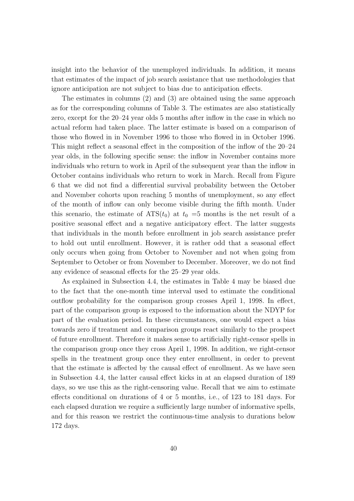insight into the behavior of the unemployed individuals. In addition, it means that estimates of the impact of job search assistance that use methodologies that ignore anticipation are not subject to bias due to anticipation effects.

The estimates in columns (2) and (3) are obtained using the same approach as for the corresponding columns of Table 3. The estimates are also statistically zero, except for the 20–24 year olds 5 months after inflow in the case in which no actual reform had taken place. The latter estimate is based on a comparison of those who flowed in in November 1996 to those who flowed in in October 1996. This might reflect a seasonal effect in the composition of the inflow of the 20–24 year olds, in the following specific sense: the inflow in November contains more individuals who return to work in April of the subsequent year than the inflow in October contains individuals who return to work in March. Recall from Figure 6 that we did not find a differential survival probability between the October and November cohorts upon reaching 5 months of unemployment, so any effect of the month of inflow can only become visible during the fifth month. Under this scenario, the estimate of  $ATS(t_0)$  at  $t_0 = 5$  months is the net result of a positive seasonal effect and a negative anticipatory effect. The latter suggests that individuals in the month before enrollment in job search assistance prefer to hold out until enrollment. However, it is rather odd that a seasonal effect only occurs when going from October to November and not when going from September to October or from November to December. Moreover, we do not find any evidence of seasonal effects for the 25–29 year olds.

As explained in Subsection 4.4, the estimates in Table 4 may be biased due to the fact that the one-month time interval used to estimate the conditional outflow probability for the comparison group crosses April 1, 1998. In effect, part of the comparison group is exposed to the information about the NDYP for part of the evaluation period. In these circumstances, one would expect a bias towards zero if treatment and comparison groups react similarly to the prospect of future enrollment. Therefore it makes sense to artificially right-censor spells in the comparison group once they cross April 1, 1998. In addition, we right-censor spells in the treatment group once they enter enrollment, in order to prevent that the estimate is affected by the causal effect of enrollment. As we have seen in Subsection 4.4, the latter causal effect kicks in at an elapsed duration of 189 days, so we use this as the right-censoring value. Recall that we aim to estimate effects conditional on durations of 4 or 5 months, i.e., of 123 to 181 days. For each elapsed duration we require a sufficiently large number of informative spells, and for this reason we restrict the continuous-time analysis to durations below 172 days.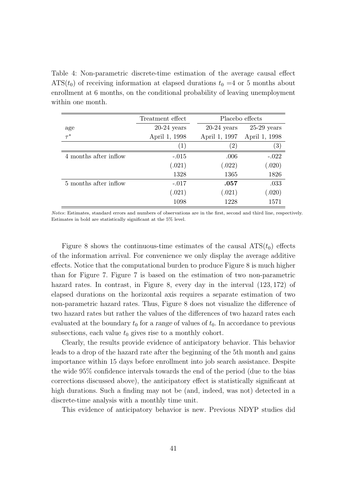Table 4: Non-parametric discrete-time estimation of the average causal effect  $ATS(t_0)$  of receiving information at elapsed durations  $t_0 = 4$  or 5 months about enrollment at 6 months, on the conditional probability of leaving unemployment within one month.

|                       | Treatment effect |               | Placebo effects |  |
|-----------------------|------------------|---------------|-----------------|--|
| age                   | $20-24$ years    | $20-24$ years | $25-29$ years   |  |
| $\tau^*$              | April 1, 1998    | April 1, 1997 | April 1, 1998   |  |
|                       | (1)              | $\mathbf{2}$  | (3)             |  |
| 4 months after inflow | $-.015$          | .006          | $-.022$         |  |
|                       | (.021)           | (.022)        | (.020)          |  |
|                       | 1328             | 1365          | 1826            |  |
| 5 months after inflow | $-.017$          | .057          | .033            |  |
|                       | (.021)           | (.021)        | (.020)          |  |
|                       | 1098             | 1228          | 1571            |  |

*Notes*: Estimates, standard errors and numbers of observations are in the first, second and third line, respectively. Estimates in bold are statistically significant at the 5% level.

Figure 8 shows the continuous-time estimates of the causal  $ATS(t_0)$  effects of the information arrival. For convenience we only display the average additive effects. Notice that the computational burden to produce Figure 8 is much higher than for Figure 7. Figure 7 is based on the estimation of two non-parametric hazard rates. In contrast, in Figure 8, every day in the interval (123*,* 172) of elapsed durations on the horizontal axis requires a separate estimation of two non-parametric hazard rates. Thus, Figure 8 does not visualize the difference of two hazard rates but rather the values of the differences of two hazard rates each evaluated at the boundary  $t_0$  for a *range* of values of  $t_0$ . In accordance to previous subsections, each value  $t_0$  gives rise to a monthly cohort.

Clearly, the results provide evidence of anticipatory behavior. This behavior leads to a drop of the hazard rate after the beginning of the 5th month and gains importance within 15 days before enrollment into job search assistance. Despite the wide 95% confidence intervals towards the end of the period (due to the bias corrections discussed above), the anticipatory effect is statistically significant at high durations. Such a finding may not be (and, indeed, was not) detected in a discrete-time analysis with a monthly time unit.

This evidence of anticipatory behavior is new. Previous NDYP studies did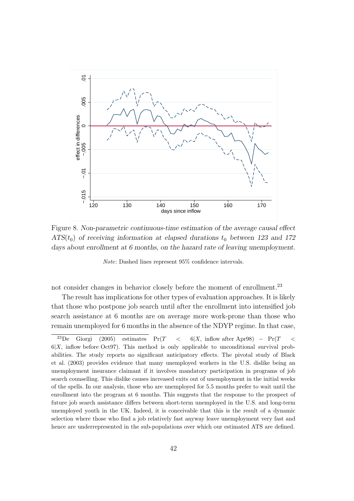

Figure 8. *Non-parametric continuous-time estimation of the average causal effect ATS*( $t_0$ ) *of receiving information at elapsed durations*  $t_0$  *between 123 and 172 days about enrollment at 6 months, on the hazard rate of leaving unemployment.*

*Note*: Dashed lines represent 95% confidence intervals.

not consider changes in behavior closely before the moment of enrollment.<sup>23</sup>

The result has implications for other types of evaluation approaches. It is likely that those who postpone job search until after the enrollment into intensified job search assistance at 6 months are on average more work-prone than those who remain unemployed for 6 months in the absence of the NDYP regime. In that case,

<sup>23</sup>De Giorgi (2005) estimates Pr(*T <* 6*|X,* inflow after Apr98) *−* Pr(*T <*  $6|X$ , inflow before Oct97). This method is only applicable to unconditional survival probabilities. The study reports no significant anticipatory effects. The pivotal study of Black et al. (2003) provides evidence that many unemployed workers in the U.S. dislike being an unemployment insurance claimant if it involves mandatory participation in programs of job search counselling. This dislike causes increased exits out of unemployment in the initial weeks of the spells. In our analysis, those who are unemployed for 5.5 months prefer to wait until the enrollment into the program at 6 months. This suggests that the response to the prospect of future job search assistance differs between short-term unemployed in the U.S. and long-term unemployed youth in the UK. Indeed, it is conceivable that this is the result of a dynamic selection where those who find a job relatively fast anyway leave unemployment very fast and hence are underrepresented in the sub-populations over which our estimated ATS are defined.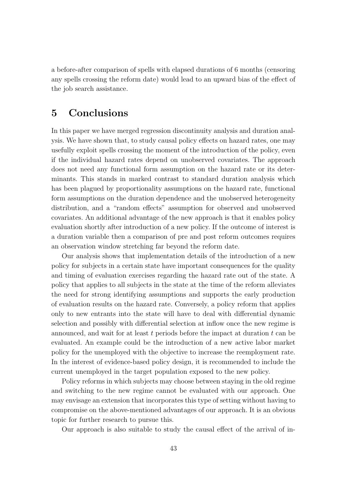a before-after comparison of spells with elapsed durations of 6 months (censoring any spells crossing the reform date) would lead to an upward bias of the effect of the job search assistance.

### **5 Conclusions**

In this paper we have merged regression discontinuity analysis and duration analysis. We have shown that, to study causal policy effects on hazard rates, one may usefully exploit spells crossing the moment of the introduction of the policy, even if the individual hazard rates depend on unobserved covariates. The approach does not need any functional form assumption on the hazard rate or its determinants. This stands in marked contrast to standard duration analysis which has been plagued by proportionality assumptions on the hazard rate, functional form assumptions on the duration dependence and the unobserved heterogeneity distribution, and a "random effects" assumption for observed and unobserved covariates. An additional advantage of the new approach is that it enables policy evaluation shortly after introduction of a new policy. If the outcome of interest is a duration variable then a comparison of pre and post reform outcomes requires an observation window stretching far beyond the reform date.

Our analysis shows that implementation details of the introduction of a new policy for subjects in a certain state have important consequences for the quality and timing of evaluation exercises regarding the hazard rate out of the state. A policy that applies to all subjects in the state at the time of the reform alleviates the need for strong identifying assumptions and supports the early production of evaluation results on the hazard rate. Conversely, a policy reform that applies only to new entrants into the state will have to deal with differential dynamic selection and possibly with differential selection at inflow once the new regime is announced, and wait for at least *t* periods before the impact at duration *t* can be evaluated. An example could be the introduction of a new active labor market policy for the unemployed with the objective to increase the reemployment rate. In the interest of evidence-based policy design, it is recommended to include the current unemployed in the target population exposed to the new policy.

Policy reforms in which subjects may choose between staying in the old regime and switching to the new regime cannot be evaluated with our approach. One may envisage an extension that incorporates this type of setting without having to compromise on the above-mentioned advantages of our approach. It is an obvious topic for further research to pursue this.

Our approach is also suitable to study the causal effect of the arrival of in-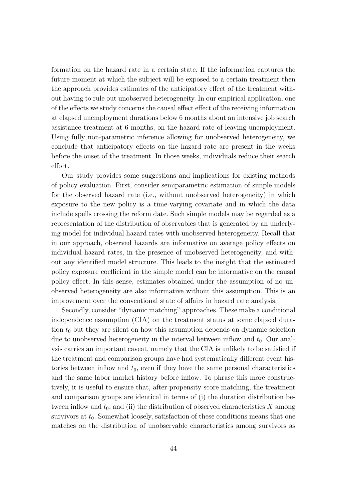formation on the hazard rate in a certain state. If the information captures the future moment at which the subject will be exposed to a certain treatment then the approach provides estimates of the anticipatory effect of the treatment without having to rule out unobserved heterogeneity. In our empirical application, one of the effects we study concerns the causal effect effect of the receiving information at elapsed unemployment durations below 6 months about an intensive job search assistance treatment at 6 months, on the hazard rate of leaving unemployment. Using fully non-parametric inference allowing for unobserved heterogeneity, we conclude that anticipatory effects on the hazard rate are present in the weeks before the onset of the treatment. In those weeks, individuals reduce their search effort.

Our study provides some suggestions and implications for existing methods of policy evaluation. First, consider semiparametric estimation of simple models for the observed hazard rate (i.e., without unobserved heterogeneity) in which exposure to the new policy is a time-varying covariate and in which the data include spells crossing the reform date. Such simple models may be regarded as a representation of the distribution of observables that is generated by an underlying model for individual hazard rates with unobserved heterogeneity. Recall that in our approach, observed hazards are informative on average policy effects on individual hazard rates, in the presence of unobserved heterogeneity, and without any identified model structure. This leads to the insight that the estimated policy exposure coefficient in the simple model can be informative on the causal policy effect. In this sense, estimates obtained under the assumption of no unobserved heterogeneity are also informative without this assumption. This is an improvement over the conventional state of affairs in hazard rate analysis.

Secondly, consider "dynamic matching" approaches. These make a conditional independence assumption (CIA) on the treatment status at some elapsed duration  $t_0$  but they are silent on how this assumption depends on dynamic selection due to unobserved heterogeneity in the interval between inflow and  $t_0$ . Our analysis carries an important caveat, namely that the CIA is unlikely to be satisfied if the treatment and comparison groups have had systematically different event histories between inflow and  $t_0$ , even if they have the same personal characteristics and the same labor market history before inflow. To phrase this more constructively, it is useful to ensure that, after propensity score matching, the treatment and comparison groups are identical in terms of (i) the duration distribution between inflow and  $t_0$ , and (ii) the distribution of observed characteristics  $X$  among survivors at  $t_0$ . Somewhat loosely, satisfaction of these conditions means that one matches on the distribution of unobservable characteristics among survivors as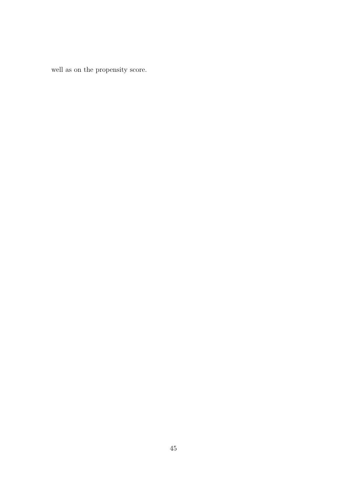well as on the propensity score.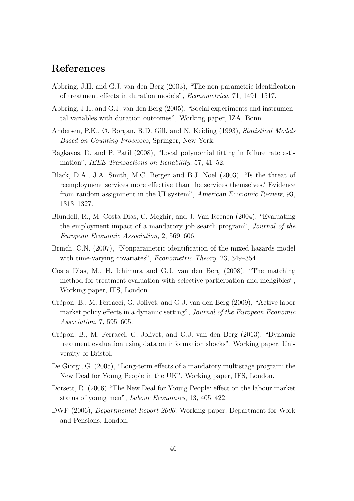### **References**

- Abbring, J.H. and G.J. van den Berg (2003), "The non-parametric identification of treatment effects in duration models", *Econometrica*, 71, 1491–1517.
- Abbring, J.H. and G.J. van den Berg (2005), "Social experiments and instrumental variables with duration outcomes", Working paper, IZA, Bonn.
- Andersen, P.K., Ø. Borgan, R.D. Gill, and N. Keiding (1993), *Statistical Models Based on Counting Processes*, Springer, New York.
- Bagkavos, D. and P. Patil (2008), "Local polynomial fitting in failure rate estimation", *IEEE Transactions on Reliability*, 57, 41–52.
- Black, D.A., J.A. Smith, M.C. Berger and B.J. Noel (2003), "Is the threat of reemployment services more effective than the services themselves? Evidence from random assignment in the UI system", *American Economic Review*, 93, 1313–1327.
- Blundell, R., M. Costa Dias, C. Meghir, and J. Van Reenen (2004), "Evaluating the employment impact of a mandatory job search program", *Journal of the European Economic Association*, 2, 569–606.
- Brinch, C.N. (2007), "Nonparametric identification of the mixed hazards model with time-varying covariates", *Econometric Theory*, 23, 349–354.
- Costa Dias, M., H. Ichimura and G.J. van den Berg (2008), "The matching method for treatment evaluation with selective participation and ineligibles", Working paper, IFS, London.
- Crépon, B., M. Ferracci, G. Jolivet, and G.J. van den Berg (2009), "Active labor market policy effects in a dynamic setting", *Journal of the European Economic Association*, 7, 595–605.
- Crépon, B., M. Ferracci, G. Jolivet, and G.J. van den Berg (2013), "Dynamic treatment evaluation using data on information shocks", Working paper, University of Bristol.
- De Giorgi, G. (2005), "Long-term effects of a mandatory multistage program: the New Deal for Young People in the UK", Working paper, IFS, London.
- Dorsett, R. (2006) "The New Deal for Young People: effect on the labour market status of young men", *Labour Economics*, 13, 405–422.
- DWP (2006), *Departmental Report 2006*, Working paper, Department for Work and Pensions, London.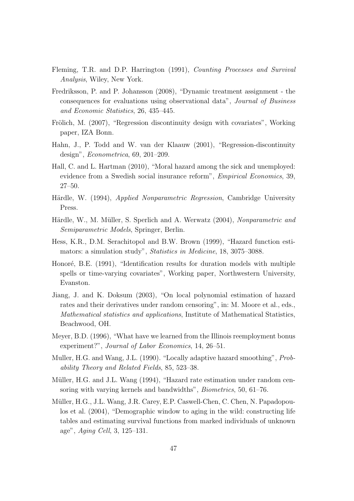- Fleming, T.R. and D.P. Harrington (1991), *Counting Processes and Survival Analysis*, Wiley, New York.
- Fredriksson, P. and P. Johansson (2008), "Dynamic treatment assignment the consequences for evaluations using observational data", *Journal of Business and Economic Statistics*, 26, 435–445.
- Frölich, M. (2007), "Regression discontinuity design with covariates", Working paper, IZA Bonn.
- Hahn, J., P. Todd and W. van der Klaauw (2001), "Regression-discontinuity design", *Econometrica*, 69, 201–209.
- Hall, C. and L. Hartman (2010), "Moral hazard among the sick and unemployed: evidence from a Swedish social insurance reform", *Empirical Economics*, 39, 27–50.
- Härdle, W. (1994), *Applied Nonparametric Regression*, Cambridge University Press.
- Härdle, W., M. Müller, S. Sperlich and A. Werwatz (2004), *Nonparametric and Semiparametric Models*, Springer, Berlin.
- Hess, K.R., D.M. Serachitopol and B.W. Brown (1999), "Hazard function estimators: a simulation study", *Statistics in Medicine*, 18, 3075–3088.
- Honoré, B.E. (1991), "Identification results for duration models with multiple spells or time-varying covariates", Working paper, Northwestern University, Evanston.
- Jiang, J. and K. Doksum (2003), "On local polynomial estimation of hazard rates and their derivatives under random censoring", in: M. Moore et al., eds., *Mathematical statistics and applications*, Institute of Mathematical Statistics, Beachwood, OH.
- Meyer, B.D. (1996), "What have we learned from the Illinois reemployment bonus experiment?", *Journal of Labor Economics*, 14, 26–51.
- Muller, H.G. and Wang, J.L. (1990). "Locally adaptive hazard smoothing", *Probability Theory and Related Fields*, 85, 523–38.
- Müller, H.G. and J.L. Wang (1994), "Hazard rate estimation under random censoring with varying kernels and bandwidths", *Biometrics*, 50, 61–76.
- Müller, H.G., J.L. Wang, J.R. Carey, E.P. Caswell-Chen, C. Chen, N. Papadopoulos et al. (2004), "Demographic window to aging in the wild: constructing life tables and estimating survival functions from marked individuals of unknown age", *Aging Cell*, 3, 125–131.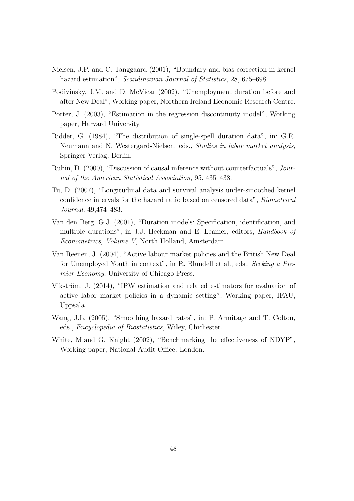- Nielsen, J.P. and C. Tanggaard (2001), "Boundary and bias correction in kernel hazard estimation", *Scandinavian Journal of Statistics*, 28, 675–698.
- Podivinsky, J.M. and D. McVicar (2002), "Unemployment duration before and after New Deal", Working paper, Northern Ireland Economic Research Centre.
- Porter, J. (2003), "Estimation in the regression discontinuity model", Working paper, Harvard University.
- Ridder, G. (1984), "The distribution of single-spell duration data", in: G.R. Neumann and N. Westergård-Nielsen, eds., *Studies in labor market analysis*, Springer Verlag, Berlin.
- Rubin, D. (2000), "Discussion of causal inference without counterfactuals", *Journal of the American Statistical Association*, 95, 435–438.
- Tu, D. (2007), "Longitudinal data and survival analysis under-smoothed kernel confidence intervals for the hazard ratio based on censored data", *Biometrical Journal*, 49,474–483.
- Van den Berg, G.J. (2001), "Duration models: Specification, identification, and multiple durations", in J.J. Heckman and E. Leamer, editors, *Handbook of Econometrics, Volume V*, North Holland, Amsterdam.
- Van Reenen, J. (2004), "Active labour market policies and the British New Deal for Unemployed Youth in context", in R. Blundell et al., eds., *Seeking a Premier Economy*, University of Chicago Press.
- Vikström, J.  $(2014)$ , "IPW estimation and related estimators for evaluation of active labor market policies in a dynamic setting", Working paper, IFAU, Uppsala.
- Wang, J.L. (2005), "Smoothing hazard rates", in: P. Armitage and T. Colton, eds., *Encyclopedia of Biostatistics*, Wiley, Chichester.
- White, M.and G. Knight (2002), "Benchmarking the effectiveness of NDYP", Working paper, National Audit Office, London.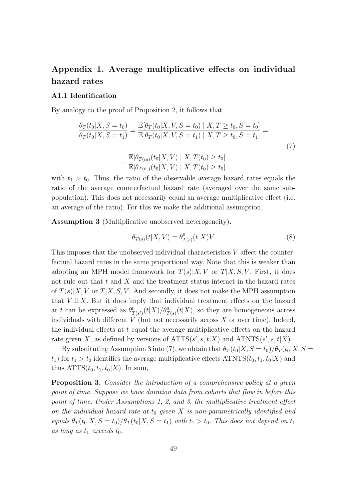### **Appendix 1. Average multiplicative effects on individual hazard rates**

#### **A1.1 Identification**

By analogy to the proof of Proposition 2, it follows that

$$
\frac{\theta_T(t_0|X, S = t_0)}{\theta_T(t_0|X, S = t_1)} = \frac{\mathbb{E}[\theta_T(t_0|X, V, S = t_0) \mid X, T \ge t_0, S = t_0]}{\mathbb{E}[\theta_T(t_0|X, V, S = t_1) \mid X, T \ge t_0, S = t_1]} = \frac{\mathbb{E}[\theta_{T(t_0)}(t_0|X, V) \mid X, T(t_0) \ge t_0]}{\mathbb{E}[\theta_{T(t_1)}(t_0|X, V) \mid X, T(t_0) \ge t_0]}
$$
\n(7)

with  $t_1 > t_0$ . Thus, the ratio of the observable average hazard rates equals the ratio of the average counterfactual hazard rate (averaged over the same subpopulation). This does not necessarily equal an average multiplicative effect (i.e. an average of the ratio). For this we make the additional assumption,

**Assumption 3** (Multiplicative unobserved heterogeneity)**.**

$$
\theta_{T(s)}(t|X,V) = \theta_{T(s)}^0(t|X)V\tag{8}
$$

This imposes that the unobserved individual characteristics *V* affect the counterfactual hazard rates in the same proportional way. Note that this is weaker than adopting an MPH model framework for  $T(s)|X, V$  or  $T|X, S, V$ . First, it does not rule out that *t* and *X* and the treatment status interact in the hazard rates of  $T(s)|X, V$  or  $T|X, S, V$ . And secondly, it does not make the MPH assumption that  $V \perp\!\!\!\perp X$ . But it does imply that individual treatment effects on the hazard at *t* can be expressed as  $\theta_{T(s)}^0(t|X)/\theta_{T(s)}^0(t|X)$ , so they are homogeneous across individuals with different  $V$  (but not necessarily across  $X$  or over time). Indeed, the individual effects at *t* equal the average multiplicative effects on the hazard rate given *X*, as defined by versions of  $\text{ATTS}(s', s, t | X)$  and  $\text{ATNTS}(s', s, t | X)$ .

By substituting Assumption 3 into (7), we obtain that  $\theta_T(t_0|X, S = t_0)/\theta_T(t_0|X, S = t_0)$  $t_1$ ) for  $t_1 > t_0$  identifies the average multiplicative effects ATNTS( $t_0, t_1, t_0$ |*X*) and thus  $ATTS(t_0, t_1, t_0|X)$ . In sum,

**Proposition 3.** *Consider the introduction of a comprehensive policy at a given point of time. Suppose we have duration data from cohorts that flow in before this point of time. Under Assumptions 1, 2, and 3, the multiplicative treatment effect on the individual hazard rate at t*<sup>0</sup> *given X is non-parametrically identified and*  $\partial_t \theta$  *equals*  $\partial_t f(t_0|X, S = t_0) / \partial_t f(t_0|X, S = t_1)$  *with*  $t_1 > t_0$ . This does not depend on  $t_1$ as long as  $t_1$  *exceeds*  $t_0$ *.*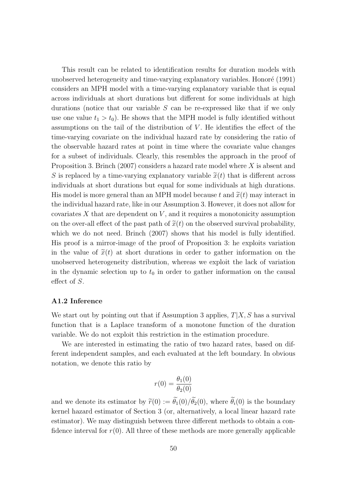This result can be related to identification results for duration models with unobserved heterogeneity and time-varying explanatory variables. Honoré (1991) considers an MPH model with a time-varying explanatory variable that is equal across individuals at short durations but different for some individuals at high durations (notice that our variable *S* can be re-expressed like that if we only use one value  $t_1 > t_0$ ). He shows that the MPH model is fully identified without assumptions on the tail of the distribution of *V*. He identifies the effect of the time-varying covariate on the individual hazard rate by considering the ratio of the observable hazard rates at point in time where the covariate value changes for a subset of individuals. Clearly, this resembles the approach in the proof of Proposition 3. Brinch (2007) considers a hazard rate model where *X* is absent and *S* is replaced by a time-varying explanatory variable  $\tilde{x}(t)$  that is different across individuals at short durations but equal for some individuals at high durations. His model is more general than an MPH model because  $t$  and  $\tilde{x}(t)$  may interact in the individual hazard rate, like in our Assumption 3. However, it does not allow for covariates *X* that are dependent on *V* , and it requires a monotonicity assumption on the over-all effect of the past path of  $\tilde{x}(t)$  on the observed survival probability, which we do not need. Brinch (2007) shows that his model is fully identified. His proof is a mirror-image of the proof of Proposition 3: he exploits variation in the value of  $\tilde{x}(t)$  at short durations in order to gather information on the unobserved heterogeneity distribution, whereas we exploit the lack of variation in the dynamic selection up to  $t_0$  in order to gather information on the causal effect of *S*.

#### **A1.2 Inference**

We start out by pointing out that if Assumption 3 applies, *T|X, S* has a survival function that is a Laplace transform of a monotone function of the duration variable. We do not exploit this restriction in the estimation procedure.

We are interested in estimating the ratio of two hazard rates, based on different independent samples, and each evaluated at the left boundary. In obvious notation, we denote this ratio by

$$
r(0) = \frac{\theta_1(0)}{\theta_2(0)}
$$

and we denote its estimator by  $\widetilde{r}(0) := \widetilde{\theta}_1(0)/\widetilde{\theta}_2(0)$ , where  $\widetilde{\theta}_i(0)$  is the boundary kernel hazard estimator of Section 3 (or, alternatively, a local linear hazard rate estimator). We may distinguish between three different methods to obtain a confidence interval for  $r(0)$ . All three of these methods are more generally applicable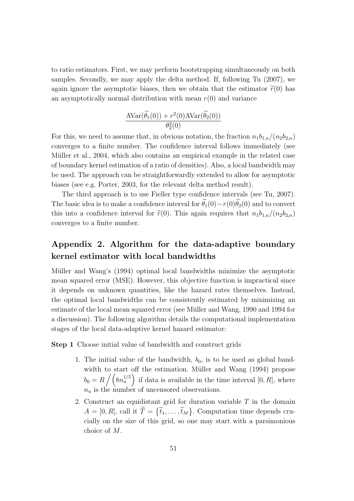to ratio estimators. First, we may perform bootstrapping simultaneously on both samples. Secondly, we may apply the delta method. If, following Tu (2007), we again ignore the asymptotic biases, then we obtain that the estimator  $\tilde{r}(0)$  has an asymptotically normal distribution with mean  $r(0)$  and variance

$$
\frac{\text{AVar}(\widetilde{\theta_1}(0)) + r^2(0)\text{AVar}(\widetilde{\theta_2}(0))}{\theta_2^2(0)}
$$

For this, we need to assume that, in obvious notation, the fraction  $n_1b_{1,n}/(n_2b_{2,n})$ converges to a finite number. The confidence interval follows immediately (see Müller et al., 2004, which also contains an empirical example in the related case of boundary kernel estimation of a ratio of densities). Also, a local bandwidth may be used. The approach can be straightforwardly extended to allow for asymptotic biases (see e.g. Porter, 2003, for the relevant delta method result).

The third approach is to use Fieller type confidence intervals (see Tu, 2007). The basic idea is to make a confidence interval for  $\tilde{\theta}_1(0)-r(0)\tilde{\theta}_2(0)$  and to convert this into a confidence interval for  $\tilde{r}(0)$ . This again requires that  $n_1b_{1,n}/(n_2b_{2,n})$ converges to a finite number.

### **Appendix 2. Algorithm for the data-adaptive boundary kernel estimator with local bandwidths**

Müller and Wang's (1994) optimal local bandwidths minimize the asymptotic mean squared error (MSE). However, this objective function is impractical since it depends on unknown quantities, like the hazard rates themselves. Instead, the optimal local bandwidths can be consistently estimated by minimizing an estimate of the local mean squared error (see Müller and Wang, 1990 and 1994 for a discussion). The following algorithm details the computational implementation stages of the local data-adaptive kernel hazard estimator:

**Step 1** Choose initial value of bandwidth and construct grids

- 1. The initial value of the bandwidth,  $b_0$ , is to be used as global bandwidth to start off the estimation. Müller and Wang (1994) propose  $b_0 = R \left/ \left( 8n_u^{1/5} \right) \right.$  if data is available in the time interval [0, R], where *n<sup>u</sup>* is the number of uncensored observations.
- 2. Construct an equidistant grid for duration variable *T* in the domain  $A = [0, R]$ , call it  $T = \{\tilde{t}_1, \ldots, \tilde{t}_M\}$ . Computation time depends crucially on the size of this grid, so one may start with a parsimonious choice of *M*.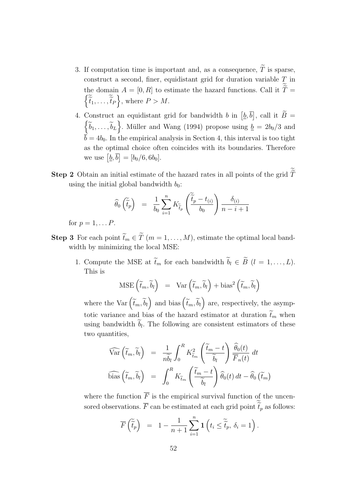- 3. If computation time is important and, as a consequence,  $\widetilde{T}$  is sparse, construct a second, finer, equidistant grid for duration variable *T* in the domain  $A = [0, R]$  to estimate the hazard functions. Call it  $T = \begin{pmatrix} \widetilde{t}_1 & \widetilde{t}_2 \\ \widetilde{t}_2 & \widetilde{t}_1 \end{pmatrix}$  where  $P > M$  $\left\{\widetilde{\tilde{t}}_1, \ldots, \widetilde{\tilde{t}}_P\right\}$ , where  $P > M$ .
- 4. Construct an equidistant grid for bandwidth *b* in  $[\underline{b}, \overline{b}]$ Construct an equidistant grid for bandwidth b in  $[\underline{b}, b]$ , call it  $B = \begin{cases} \tilde{b}_1 & \tilde{b}_1 \end{cases}$ . Müller and Wang (1994) propose using  $b = 2b_0/3$  and  $\widetilde{b}_1, \ldots, \widetilde{b}_L$ . Müller and Wang (1994) propose using  $\underline{b} = 2b_0/3$  and  $\vec{b} = 4b_0$ . In the empirical analysis in Section 4, this interval is too tight as the optimal choice often coincides with its boundaries. Therefore we use  $[\underline{b}, \overline{b}] = [b_0/6, 6b_0].$
- **Step 2** Obtain an initial estimate of the hazard rates in all points of the grid T using the initial global bandwidth  $b_0$ :

$$
\widehat{\theta}_0\left(\widetilde{\tilde{t}}_p\right) = \frac{1}{b_0} \sum_{i=1}^n K_{\widetilde{t}_p}\left(\frac{\widetilde{\tilde{t}}_p - t_{(i)}}{b_0}\right) \frac{\delta_{(i)}}{n - i + 1}
$$

for  $p = 1, \ldots P$ .

- **Step 3** For each point  $\widetilde{t}_m \in \widetilde{T}$  ( $m = 1, ..., M$ ), estimate the optimal local bandwidth by minimizing the local MSE:
	- 1. Compute the MSE at  $\widetilde{t}_m$  for each bandwidth  $\widetilde{b}_l \in \widetilde{B}$   $(l = 1, \ldots, L)$ . This is

$$
\text{MSE}\left(\widetilde{t}_m, \widetilde{b}_l\right) = \text{Var}\left(\widetilde{t}_m, \widetilde{b}_l\right) + \text{bias}^2\left(\widetilde{t}_m, \widetilde{b}_l\right)
$$

where the Var  $(\tilde{t}_m, \tilde{b}_l)$  and bias  $(\tilde{t}_m, \tilde{b}_l)$  are, respectively, the asymptotic variance and bias of the hazard estimator at duration  $\tilde{t}_m$  when using bandwidth  $b_l$ . The following are consistent estimators of these two quantities,

$$
\widehat{\text{Var}}\left(\widetilde{t}_m, \widetilde{b}_l\right) = \frac{1}{n\widetilde{b}_l} \int_0^R K_{\widetilde{t}_m}^2 \left(\frac{\widetilde{t}_m - t}{\widetilde{b}_l}\right) \frac{\widehat{\theta}_0(t)}{\overline{F}_n(t)} dt
$$
\n
$$
\widehat{\text{bias}}\left(\widetilde{t}_m, \widetilde{b}_l\right) = \int_0^R K_{\widetilde{t}_m} \left(\frac{\widetilde{t}_m - t}{\widetilde{b}_l}\right) \widehat{\theta}_0(t) dt - \widehat{\theta}_0\left(\widetilde{t}_m\right)
$$

where the function  $\overline{F}$  is the empirical survival function of the uncensored observations.  $\overline{F}$  can be estimated at each grid point  $\widetilde{\widetilde{t}}_p$  as follows:

$$
\overline{F}\left(\widetilde{\tilde{t}}_p\right) = 1 - \frac{1}{n+1}\sum_{i=1}^n \mathbf{1}\left(t_i \leq \widetilde{\tilde{t}}_p, \delta_i = 1\right).
$$